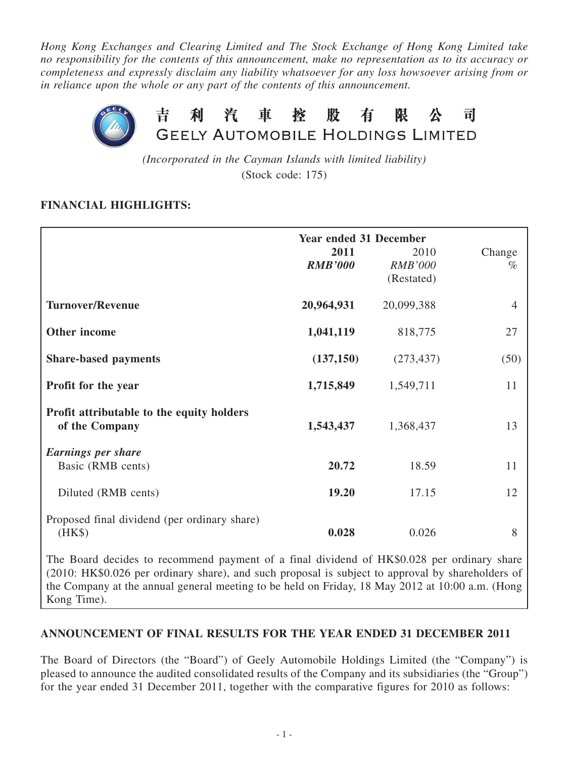*Hong Kong Exchanges and Clearing Limited and The Stock Exchange of Hong Kong Limited take no responsibility for the contents of this announcement, make no representation as to its accuracy or completeness and expressly disclaim any liability whatsoever for any loss howsoever arising from or in reliance upon the whole or any part of the contents of this announcement.*



*(Incorporated in the Cayman Islands with limited liability)* (Stock code: 175)

## **Financial highlights:**

|                                              | <b>Year ended 31 December</b> |                              |                |  |  |
|----------------------------------------------|-------------------------------|------------------------------|----------------|--|--|
|                                              | 2011                          | 2010                         | Change         |  |  |
|                                              | <b>RMB'000</b>                | <b>RMB'000</b><br>(Restated) | $\%$           |  |  |
|                                              |                               |                              |                |  |  |
| <b>Turnover/Revenue</b>                      | 20,964,931                    | 20,099,388                   | $\overline{4}$ |  |  |
|                                              |                               |                              |                |  |  |
| Other income                                 | 1,041,119                     | 818,775                      | 27             |  |  |
| <b>Share-based payments</b>                  | (137, 150)                    | (273, 437)                   | (50)           |  |  |
|                                              |                               |                              | 11             |  |  |
| Profit for the year                          | 1,715,849                     | 1,549,711                    |                |  |  |
| Profit attributable to the equity holders    |                               |                              |                |  |  |
| of the Company                               | 1,543,437                     | 1,368,437                    | 13             |  |  |
| <b>Earnings per share</b>                    |                               |                              |                |  |  |
| Basic (RMB cents)                            | 20.72                         | 18.59                        | 11             |  |  |
| Diluted (RMB cents)                          | 19.20                         | 17.15                        | 12             |  |  |
|                                              |                               |                              |                |  |  |
| Proposed final dividend (per ordinary share) |                               |                              |                |  |  |
| (HK\$)                                       | 0.028                         | 0.026                        | 8              |  |  |

The Board decides to recommend payment of a final dividend of HK\$0.028 per ordinary share (2010: HK\$0.026 per ordinary share), and such proposal is subject to approval by shareholders of the Company at the annual general meeting to be held on Friday, 18 May 2012 at 10:00 a.m. (Hong Kong Time).

## **ANNOUNCEMENT OF FINAL RESULTS FOR THE YEAR ENDED 31 DECEMBER 2011**

The Board of Directors (the "Board") of Geely Automobile Holdings Limited (the "Company") is pleased to announce the audited consolidated results of the Company and its subsidiaries (the "Group") for the year ended 31 December 2011, together with the comparative figures for 2010 as follows: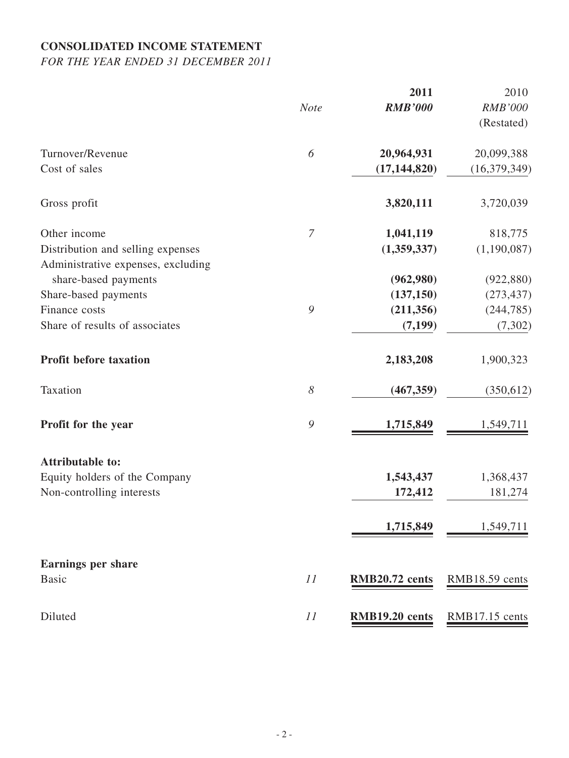# **CONSOLIDATED INCOME STATEMENT**

*FOR THE YEAR ENDED 31 DECEMBER 2011*

|                                                                         | <b>Note</b>    | 2011<br><b>RMB'000</b> | 2010<br><b>RMB'000</b> |
|-------------------------------------------------------------------------|----------------|------------------------|------------------------|
|                                                                         |                |                        | (Restated)             |
| Turnover/Revenue                                                        | 6              | 20,964,931             | 20,099,388             |
| Cost of sales                                                           |                | (17, 144, 820)         | (16, 379, 349)         |
| Gross profit                                                            |                | 3,820,111              | 3,720,039              |
| Other income                                                            | $\overline{7}$ | 1,041,119              | 818,775                |
| Distribution and selling expenses<br>Administrative expenses, excluding |                | (1,359,337)            | (1,190,087)            |
| share-based payments                                                    |                | (962,980)              | (922, 880)             |
| Share-based payments                                                    |                | (137, 150)             | (273, 437)             |
| Finance costs                                                           | 9              | (211, 356)             | (244, 785)             |
| Share of results of associates                                          |                | (7, 199)               | (7, 302)               |
| Profit before taxation                                                  |                | 2,183,208              | 1,900,323              |
| Taxation                                                                | $\delta$       | (467, 359)             | (350, 612)             |
| Profit for the year                                                     | 9              | 1,715,849              | 1,549,711              |
| <b>Attributable to:</b>                                                 |                |                        |                        |
| Equity holders of the Company                                           |                | 1,543,437              | 1,368,437              |
| Non-controlling interests                                               |                | 172,412                | 181,274                |
|                                                                         |                | 1,715,849              | 1,549,711              |
| <b>Earnings per share</b>                                               |                |                        |                        |
| <b>Basic</b>                                                            | 11             | RMB20.72 cents         | RMB18.59 cents         |
| Diluted                                                                 | 11             | RMB19.20 cents         | RMB17.15 cents         |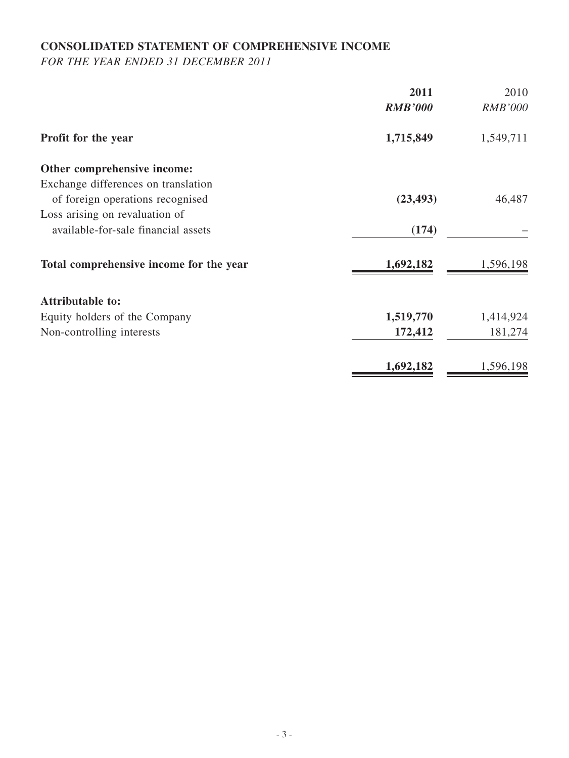## **CONSOLIDATED STATEMENT OF COMPREHENSIVE INCOME**

*FOR THE YEAR ENDED 31 DECEMBER 2011*

|                                         | 2011           | 2010           |
|-----------------------------------------|----------------|----------------|
|                                         | <b>RMB'000</b> | <b>RMB'000</b> |
| <b>Profit for the year</b>              | 1,715,849      | 1,549,711      |
| Other comprehensive income:             |                |                |
| Exchange differences on translation     |                |                |
| of foreign operations recognised        | (23, 493)      | 46,487         |
| Loss arising on revaluation of          |                |                |
| available-for-sale financial assets     | (174)          |                |
| Total comprehensive income for the year | 1,692,182      | 1,596,198      |
| <b>Attributable to:</b>                 |                |                |
| Equity holders of the Company           | 1,519,770      | 1,414,924      |
| Non-controlling interests               | 172,412        | 181,274        |
|                                         | 1,692,182      | 1,596,198      |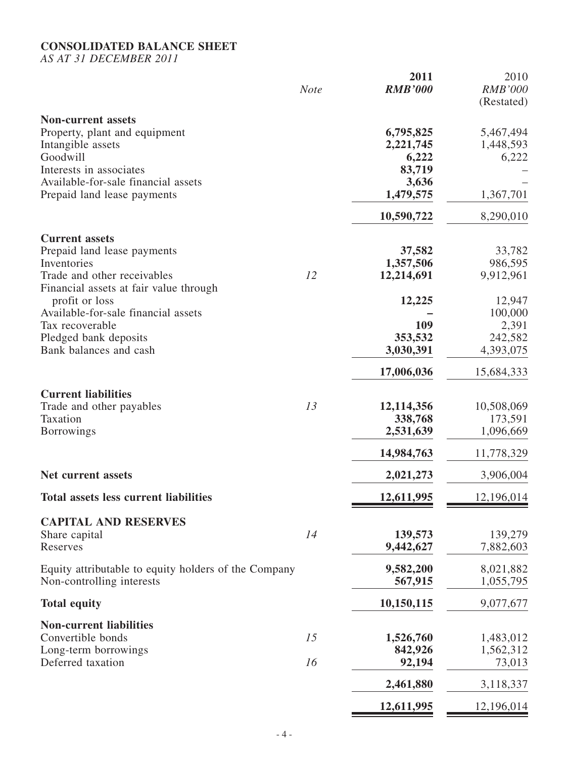# **CONSOLIDATED BALANCE SHEET**

*AS AT 31 DECEMBER 2011*

|                                                                                                                                                                                              | <b>Note</b> | 2011<br><b>RMB'000</b>                                          | 2010<br><b>RMB'000</b><br>(Restated)                   |
|----------------------------------------------------------------------------------------------------------------------------------------------------------------------------------------------|-------------|-----------------------------------------------------------------|--------------------------------------------------------|
| <b>Non-current assets</b><br>Property, plant and equipment<br>Intangible assets<br>Goodwill<br>Interests in associates<br>Available-for-sale financial assets<br>Prepaid land lease payments |             | 6,795,825<br>2,221,745<br>6,222<br>83,719<br>3,636<br>1,479,575 | 5,467,494<br>1,448,593<br>6,222<br>1,367,701           |
| <b>Current assets</b><br>Prepaid land lease payments<br>Inventories<br>Trade and other receivables<br>Financial assets at fair value through<br>profit or loss                               | 12          | 10,590,722<br>37,582<br>1,357,506<br>12,214,691<br>12,225       | 8,290,010<br>33,782<br>986,595<br>9,912,961<br>12,947  |
| Available-for-sale financial assets<br>Tax recoverable<br>Pledged bank deposits<br>Bank balances and cash                                                                                    |             | 109<br>353,532<br>3,030,391<br>17,006,036                       | 100,000<br>2,391<br>242,582<br>4,393,075<br>15,684,333 |
| <b>Current liabilities</b><br>Trade and other payables<br>Taxation<br>Borrowings                                                                                                             | 13          | 12,114,356<br>338,768<br>2,531,639<br>14,984,763                | 10,508,069<br>173,591<br>1,096,669<br>11,778,329       |
| <b>Net current assets</b><br><b>Total assets less current liabilities</b>                                                                                                                    |             | 2,021,273<br>12,611,995                                         | 3,906,004<br><u>12,196,014</u>                         |
| <b>CAPITAL AND RESERVES</b><br>Share capital<br>Reserves                                                                                                                                     | 14          | 139,573<br>9,442,627                                            | 139,279<br>7,882,603                                   |
| Equity attributable to equity holders of the Company<br>Non-controlling interests                                                                                                            |             | 9,582,200<br>567,915                                            | 8,021,882<br>1,055,795                                 |
| <b>Total equity</b>                                                                                                                                                                          |             | 10,150,115                                                      | 9,077,677                                              |
| <b>Non-current liabilities</b><br>Convertible bonds<br>Long-term borrowings<br>Deferred taxation                                                                                             | 15<br>16    | 1,526,760<br>842,926<br>92,194                                  | 1,483,012<br>1,562,312<br>73,013                       |
|                                                                                                                                                                                              |             | 2,461,880                                                       | 3,118,337                                              |
|                                                                                                                                                                                              |             | 12,611,995                                                      | 12,196,014                                             |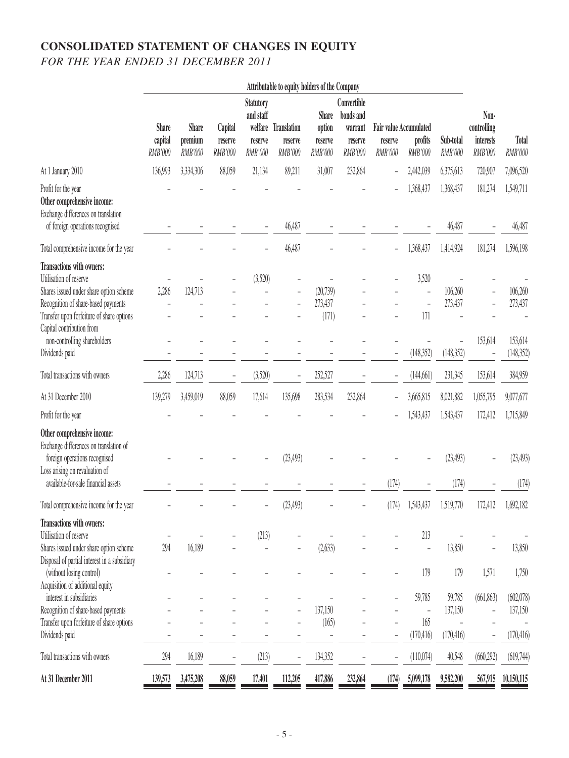# **Consolidated statement of changes in equity** *FOR THE YEAR ENDED 31 DECEMBER 2011*

|                                                                                                                                                                                                                                                                   |                                           |                                    |                               |                                                                | Attributable to equity holders of the Company |                                              |                                                           |                                                     |                                               |                                  |                                             |                                             |
|-------------------------------------------------------------------------------------------------------------------------------------------------------------------------------------------------------------------------------------------------------------------|-------------------------------------------|------------------------------------|-------------------------------|----------------------------------------------------------------|-----------------------------------------------|----------------------------------------------|-----------------------------------------------------------|-----------------------------------------------------|-----------------------------------------------|----------------------------------|---------------------------------------------|---------------------------------------------|
|                                                                                                                                                                                                                                                                   | <b>Share</b><br>capital<br><b>RMB'000</b> | <b>Share</b><br>premium<br>RMB'000 | Capital<br>reserve<br>RMB'000 | <b>Statutory</b><br>and staff<br>welfare<br>reserve<br>RMB'000 | Translation<br>reserve<br><b>RMB'000</b>      | <b>Share</b><br>option<br>reserve<br>RMB'000 | Convertible<br>bonds and<br>warrant<br>reserve<br>RMB'000 | <b>Fair value Accumulated</b><br>reserve<br>RMB'000 | profits<br><b>RMB'000</b>                     | Sub-total<br><b>RMB'000</b>      | Non-<br>controlling<br>interests<br>RMB'000 | Total<br><b>RMB'000</b>                     |
| At 1 January 2010                                                                                                                                                                                                                                                 | 136,993                                   | 3,334,306                          | 88,059                        | 21,134                                                         | 89,211                                        | 31,007                                       | 232,864                                                   | $\overline{\phantom{0}}$                            | 2,442,039                                     | 6,375,613                        | 720,907                                     | 7,096,520                                   |
| Profit for the year<br>Other comprehensive income:<br>Exchange differences on translation<br>of foreign operations recognised                                                                                                                                     |                                           |                                    |                               |                                                                | 46,487                                        |                                              |                                                           |                                                     | 1,368,437                                     | 1,368,437<br>46,487              | 181,274                                     | 1,549,711<br>46,487                         |
| Total comprehensive income for the year                                                                                                                                                                                                                           |                                           |                                    |                               |                                                                | 46,487                                        |                                              |                                                           |                                                     | 1,368,437                                     | 1,414,924                        | 181,274                                     | 1,596,198                                   |
| Transactions with owners:<br>Utilisation of reserve<br>Shares issued under share option scheme<br>Recognition of share-based payments<br>Transfer upon forfeiture of share options<br>Capital contribution from<br>non-controlling shareholders<br>Dividends paid | 2,286                                     | 124,713                            |                               | (3,520)                                                        |                                               | (20, 739)<br>273,437<br>(171)                |                                                           |                                                     | 3,520<br>171<br>(148, 352)                    | 106,260<br>273,437<br>(148, 352) | 153,614                                     | 106,260<br>273,437<br>153,614<br>(148, 352) |
| Total transactions with owners                                                                                                                                                                                                                                    | 2,286                                     | 124,713                            |                               | (3,520)                                                        |                                               | 252,527                                      |                                                           | -                                                   | (144, 661)                                    | 231,345                          | 153,614                                     | 384,959                                     |
| At 31 December 2010                                                                                                                                                                                                                                               | 139,279                                   | 3,459,019                          | 88,059                        | 17,614                                                         | 135,698                                       | 283,534                                      | 232,864                                                   |                                                     | 3,665,815                                     | 8,021,882                        | 1,055,795                                   | 9,077,677                                   |
| Profit for the year                                                                                                                                                                                                                                               |                                           |                                    |                               |                                                                |                                               |                                              |                                                           | -                                                   | 1,543,437                                     | 1,543,437                        | 172,412                                     | 1,715,849                                   |
| Other comprehensive income:<br>Exchange differences on translation of<br>foreign operations recognised<br>Loss arising on revaluation of<br>available-for-sale financial assets                                                                                   |                                           |                                    |                               |                                                                | (23, 493)                                     |                                              |                                                           | (174)                                               |                                               | (23, 493)<br>(174)               |                                             | (23, 493)<br>(174)                          |
| Total comprehensive income for the year                                                                                                                                                                                                                           |                                           |                                    |                               |                                                                | (23, 493)                                     |                                              |                                                           | (174)                                               | 1,543,437                                     | 1,519,770                        | 172,412                                     | 1,692,182                                   |
| Transactions with owners:<br>Utilisation of reserve<br>Shares issued under share option scheme<br>Disposal of partial interest in a subsidiary<br>(without losing control)                                                                                        | 294                                       | 16,189                             |                               | (213)                                                          |                                               | (2, 633)                                     |                                                           |                                                     | 213<br>÷,<br>179                              | 13,850<br>179                    | 1,571                                       | 13,850<br>1,750                             |
| Acquisition of additional equity<br>interest in subsidiaries<br>Recognition of share-based payments<br>Transfer upon forfeiture of share options<br>Dividends paid                                                                                                |                                           |                                    |                               |                                                                |                                               | 137,150<br>(165)<br>L.                       |                                                           |                                                     | 59,785<br>$\overline{a}$<br>165<br>(170, 416) | 59,785<br>137,150<br>(170, 416)  | (661, 863)                                  | (602,078)<br>137,150<br>(170, 416)          |
| Total transactions with owners                                                                                                                                                                                                                                    | 294                                       | 16,189                             |                               | (213)                                                          |                                               | 134,352                                      |                                                           |                                                     | (110,074)                                     | 40,548                           | (660, 292)                                  | (619,744)                                   |
| At 31 December 2011                                                                                                                                                                                                                                               | 139,573                                   | 3,475,208                          | 88,059                        | 17,401                                                         | 112,205                                       | 417,886                                      | 232,864                                                   | (174)                                               | 5,099,178                                     | 9,582,200                        | 567,915                                     | 10,150,115                                  |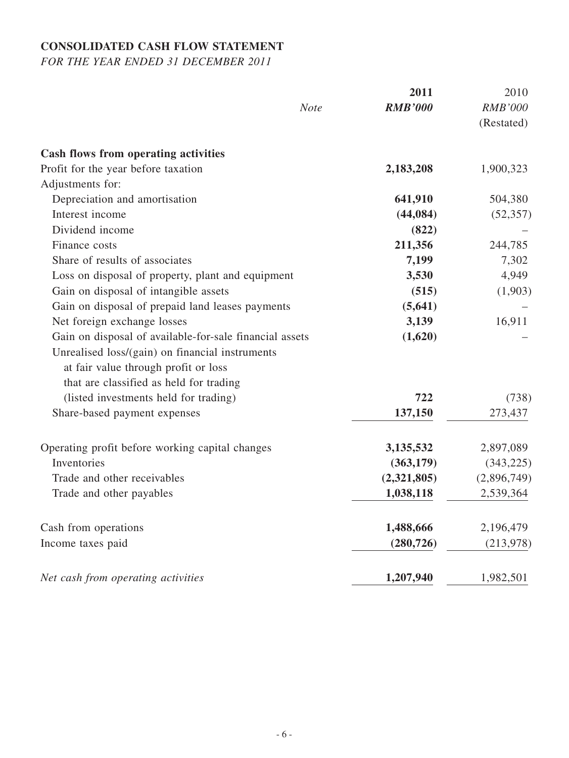# **CONSOLIDATED CASH FLOW STATEMENT**

*FOR THE YEAR ENDED 31 DECEMBER 2011*

|                                                         | 2011           | 2010           |
|---------------------------------------------------------|----------------|----------------|
| <b>Note</b>                                             | <b>RMB'000</b> | <b>RMB'000</b> |
|                                                         |                | (Restated)     |
| Cash flows from operating activities                    |                |                |
| Profit for the year before taxation                     | 2,183,208      | 1,900,323      |
| Adjustments for:                                        |                |                |
| Depreciation and amortisation                           | 641,910        | 504,380        |
| Interest income                                         | (44, 084)      | (52, 357)      |
| Dividend income                                         | (822)          |                |
| Finance costs                                           | 211,356        | 244,785        |
| Share of results of associates                          | 7,199          | 7,302          |
| Loss on disposal of property, plant and equipment       | 3,530          | 4,949          |
| Gain on disposal of intangible assets                   | (515)          | (1,903)        |
| Gain on disposal of prepaid land leases payments        | (5, 641)       |                |
| Net foreign exchange losses                             | 3,139          | 16,911         |
| Gain on disposal of available-for-sale financial assets | (1,620)        |                |
| Unrealised loss/(gain) on financial instruments         |                |                |
| at fair value through profit or loss                    |                |                |
| that are classified as held for trading                 |                |                |
| (listed investments held for trading)                   | 722            | (738)          |
| Share-based payment expenses                            | 137,150        | 273,437        |
| Operating profit before working capital changes         | 3,135,532      | 2,897,089      |
| Inventories                                             | (363, 179)     | (343, 225)     |
| Trade and other receivables                             | (2,321,805)    | (2,896,749)    |
| Trade and other payables                                | 1,038,118      | 2,539,364      |
| Cash from operations                                    | 1,488,666      | 2,196,479      |
| Income taxes paid                                       | (280, 726)     | (213, 978)     |
| Net cash from operating activities                      | 1,207,940      | 1,982,501      |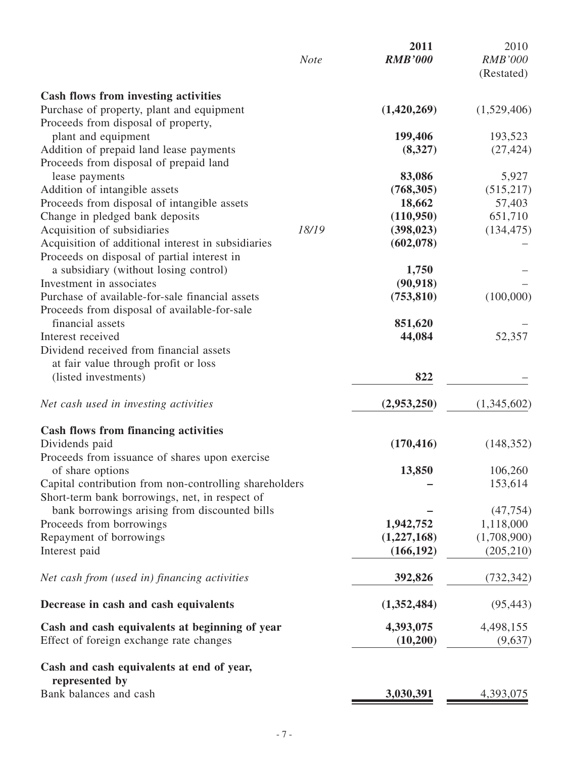| <b>Cash flows from investing activities</b><br>Purchase of property, plant and equipment<br>(1,420,269)<br>Proceeds from disposal of property,<br>199,406<br>plant and equipment<br>193,523<br>Addition of prepaid land lease payments<br>(27, 424)<br>(8,327)<br>Proceeds from disposal of prepaid land<br>lease payments<br>83,086<br>5,927<br>Addition of intangible assets<br>(768, 305)<br>(515,217)<br>Proceeds from disposal of intangible assets<br>18,662<br>57,403<br>Change in pledged bank deposits<br>(110,950)<br>651,710<br>Acquisition of subsidiaries<br>18/19<br>(134, 475)<br>(398, 023)<br>Acquisition of additional interest in subsidiaries<br>(602, 078)<br>Proceeds on disposal of partial interest in<br>a subsidiary (without losing control)<br>1,750<br>Investment in associates<br>(90, 918)<br>Purchase of available-for-sale financial assets<br>(753, 810)<br>(100,000)<br>Proceeds from disposal of available-for-sale<br>financial assets<br>851,620<br>52,357<br>Interest received<br>44,084<br>Dividend received from financial assets<br>at fair value through profit or loss<br>(listed investments)<br>822<br>(2,953,250)<br><b>Cash flows from financing activities</b><br>Dividends paid<br>(170, 416)<br>(148, 352)<br>Proceeds from issuance of shares upon exercise<br>13,850<br>106,260<br>of share options<br>Capital contribution from non-controlling shareholders<br>153,614<br>Short-term bank borrowings, net, in respect of<br>bank borrowings arising from discounted bills<br>(47, 754)<br>1,942,752<br>Proceeds from borrowings<br>1,118,000<br>Repayment of borrowings<br>(1,227,168)<br>(1,708,900)<br>Interest paid<br>(166, 192)<br>(205, 210)<br>Net cash from (used in) financing activities<br>392,826<br>Decrease in cash and cash equivalents<br>(1,352,484)<br>4,498,155<br>Cash and cash equivalents at beginning of year<br>4,393,075<br>Effect of foreign exchange rate changes<br>(10, 200)<br>Cash and cash equivalents at end of year,<br>represented by<br>Bank balances and cash<br>3,030,391<br>4,393,075 |                                       | <b>Note</b> | 2011<br><b>RMB'000</b> | 2010<br><b>RMB'000</b><br>(Restated) |
|-------------------------------------------------------------------------------------------------------------------------------------------------------------------------------------------------------------------------------------------------------------------------------------------------------------------------------------------------------------------------------------------------------------------------------------------------------------------------------------------------------------------------------------------------------------------------------------------------------------------------------------------------------------------------------------------------------------------------------------------------------------------------------------------------------------------------------------------------------------------------------------------------------------------------------------------------------------------------------------------------------------------------------------------------------------------------------------------------------------------------------------------------------------------------------------------------------------------------------------------------------------------------------------------------------------------------------------------------------------------------------------------------------------------------------------------------------------------------------------------------------------------------------------------------------------------------------------------------------------------------------------------------------------------------------------------------------------------------------------------------------------------------------------------------------------------------------------------------------------------------------------------------------------------------------------------------------------------------------------------------------------------------------------------------------------------------------------|---------------------------------------|-------------|------------------------|--------------------------------------|
|                                                                                                                                                                                                                                                                                                                                                                                                                                                                                                                                                                                                                                                                                                                                                                                                                                                                                                                                                                                                                                                                                                                                                                                                                                                                                                                                                                                                                                                                                                                                                                                                                                                                                                                                                                                                                                                                                                                                                                                                                                                                                     |                                       |             |                        |                                      |
|                                                                                                                                                                                                                                                                                                                                                                                                                                                                                                                                                                                                                                                                                                                                                                                                                                                                                                                                                                                                                                                                                                                                                                                                                                                                                                                                                                                                                                                                                                                                                                                                                                                                                                                                                                                                                                                                                                                                                                                                                                                                                     |                                       |             |                        | (1,529,406)                          |
|                                                                                                                                                                                                                                                                                                                                                                                                                                                                                                                                                                                                                                                                                                                                                                                                                                                                                                                                                                                                                                                                                                                                                                                                                                                                                                                                                                                                                                                                                                                                                                                                                                                                                                                                                                                                                                                                                                                                                                                                                                                                                     |                                       |             |                        |                                      |
|                                                                                                                                                                                                                                                                                                                                                                                                                                                                                                                                                                                                                                                                                                                                                                                                                                                                                                                                                                                                                                                                                                                                                                                                                                                                                                                                                                                                                                                                                                                                                                                                                                                                                                                                                                                                                                                                                                                                                                                                                                                                                     |                                       |             |                        |                                      |
|                                                                                                                                                                                                                                                                                                                                                                                                                                                                                                                                                                                                                                                                                                                                                                                                                                                                                                                                                                                                                                                                                                                                                                                                                                                                                                                                                                                                                                                                                                                                                                                                                                                                                                                                                                                                                                                                                                                                                                                                                                                                                     |                                       |             |                        |                                      |
|                                                                                                                                                                                                                                                                                                                                                                                                                                                                                                                                                                                                                                                                                                                                                                                                                                                                                                                                                                                                                                                                                                                                                                                                                                                                                                                                                                                                                                                                                                                                                                                                                                                                                                                                                                                                                                                                                                                                                                                                                                                                                     |                                       |             |                        |                                      |
|                                                                                                                                                                                                                                                                                                                                                                                                                                                                                                                                                                                                                                                                                                                                                                                                                                                                                                                                                                                                                                                                                                                                                                                                                                                                                                                                                                                                                                                                                                                                                                                                                                                                                                                                                                                                                                                                                                                                                                                                                                                                                     |                                       |             |                        |                                      |
|                                                                                                                                                                                                                                                                                                                                                                                                                                                                                                                                                                                                                                                                                                                                                                                                                                                                                                                                                                                                                                                                                                                                                                                                                                                                                                                                                                                                                                                                                                                                                                                                                                                                                                                                                                                                                                                                                                                                                                                                                                                                                     |                                       |             |                        |                                      |
|                                                                                                                                                                                                                                                                                                                                                                                                                                                                                                                                                                                                                                                                                                                                                                                                                                                                                                                                                                                                                                                                                                                                                                                                                                                                                                                                                                                                                                                                                                                                                                                                                                                                                                                                                                                                                                                                                                                                                                                                                                                                                     |                                       |             |                        |                                      |
|                                                                                                                                                                                                                                                                                                                                                                                                                                                                                                                                                                                                                                                                                                                                                                                                                                                                                                                                                                                                                                                                                                                                                                                                                                                                                                                                                                                                                                                                                                                                                                                                                                                                                                                                                                                                                                                                                                                                                                                                                                                                                     |                                       |             |                        |                                      |
|                                                                                                                                                                                                                                                                                                                                                                                                                                                                                                                                                                                                                                                                                                                                                                                                                                                                                                                                                                                                                                                                                                                                                                                                                                                                                                                                                                                                                                                                                                                                                                                                                                                                                                                                                                                                                                                                                                                                                                                                                                                                                     |                                       |             |                        |                                      |
|                                                                                                                                                                                                                                                                                                                                                                                                                                                                                                                                                                                                                                                                                                                                                                                                                                                                                                                                                                                                                                                                                                                                                                                                                                                                                                                                                                                                                                                                                                                                                                                                                                                                                                                                                                                                                                                                                                                                                                                                                                                                                     |                                       |             |                        |                                      |
|                                                                                                                                                                                                                                                                                                                                                                                                                                                                                                                                                                                                                                                                                                                                                                                                                                                                                                                                                                                                                                                                                                                                                                                                                                                                                                                                                                                                                                                                                                                                                                                                                                                                                                                                                                                                                                                                                                                                                                                                                                                                                     |                                       |             |                        |                                      |
|                                                                                                                                                                                                                                                                                                                                                                                                                                                                                                                                                                                                                                                                                                                                                                                                                                                                                                                                                                                                                                                                                                                                                                                                                                                                                                                                                                                                                                                                                                                                                                                                                                                                                                                                                                                                                                                                                                                                                                                                                                                                                     |                                       |             |                        |                                      |
|                                                                                                                                                                                                                                                                                                                                                                                                                                                                                                                                                                                                                                                                                                                                                                                                                                                                                                                                                                                                                                                                                                                                                                                                                                                                                                                                                                                                                                                                                                                                                                                                                                                                                                                                                                                                                                                                                                                                                                                                                                                                                     |                                       |             |                        |                                      |
|                                                                                                                                                                                                                                                                                                                                                                                                                                                                                                                                                                                                                                                                                                                                                                                                                                                                                                                                                                                                                                                                                                                                                                                                                                                                                                                                                                                                                                                                                                                                                                                                                                                                                                                                                                                                                                                                                                                                                                                                                                                                                     |                                       |             |                        |                                      |
|                                                                                                                                                                                                                                                                                                                                                                                                                                                                                                                                                                                                                                                                                                                                                                                                                                                                                                                                                                                                                                                                                                                                                                                                                                                                                                                                                                                                                                                                                                                                                                                                                                                                                                                                                                                                                                                                                                                                                                                                                                                                                     |                                       |             |                        |                                      |
|                                                                                                                                                                                                                                                                                                                                                                                                                                                                                                                                                                                                                                                                                                                                                                                                                                                                                                                                                                                                                                                                                                                                                                                                                                                                                                                                                                                                                                                                                                                                                                                                                                                                                                                                                                                                                                                                                                                                                                                                                                                                                     |                                       |             |                        |                                      |
|                                                                                                                                                                                                                                                                                                                                                                                                                                                                                                                                                                                                                                                                                                                                                                                                                                                                                                                                                                                                                                                                                                                                                                                                                                                                                                                                                                                                                                                                                                                                                                                                                                                                                                                                                                                                                                                                                                                                                                                                                                                                                     |                                       |             |                        |                                      |
|                                                                                                                                                                                                                                                                                                                                                                                                                                                                                                                                                                                                                                                                                                                                                                                                                                                                                                                                                                                                                                                                                                                                                                                                                                                                                                                                                                                                                                                                                                                                                                                                                                                                                                                                                                                                                                                                                                                                                                                                                                                                                     |                                       |             |                        |                                      |
|                                                                                                                                                                                                                                                                                                                                                                                                                                                                                                                                                                                                                                                                                                                                                                                                                                                                                                                                                                                                                                                                                                                                                                                                                                                                                                                                                                                                                                                                                                                                                                                                                                                                                                                                                                                                                                                                                                                                                                                                                                                                                     |                                       |             |                        |                                      |
|                                                                                                                                                                                                                                                                                                                                                                                                                                                                                                                                                                                                                                                                                                                                                                                                                                                                                                                                                                                                                                                                                                                                                                                                                                                                                                                                                                                                                                                                                                                                                                                                                                                                                                                                                                                                                                                                                                                                                                                                                                                                                     |                                       |             |                        |                                      |
|                                                                                                                                                                                                                                                                                                                                                                                                                                                                                                                                                                                                                                                                                                                                                                                                                                                                                                                                                                                                                                                                                                                                                                                                                                                                                                                                                                                                                                                                                                                                                                                                                                                                                                                                                                                                                                                                                                                                                                                                                                                                                     |                                       |             |                        |                                      |
|                                                                                                                                                                                                                                                                                                                                                                                                                                                                                                                                                                                                                                                                                                                                                                                                                                                                                                                                                                                                                                                                                                                                                                                                                                                                                                                                                                                                                                                                                                                                                                                                                                                                                                                                                                                                                                                                                                                                                                                                                                                                                     | Net cash used in investing activities |             |                        | (1,345,602)                          |
|                                                                                                                                                                                                                                                                                                                                                                                                                                                                                                                                                                                                                                                                                                                                                                                                                                                                                                                                                                                                                                                                                                                                                                                                                                                                                                                                                                                                                                                                                                                                                                                                                                                                                                                                                                                                                                                                                                                                                                                                                                                                                     |                                       |             |                        |                                      |
|                                                                                                                                                                                                                                                                                                                                                                                                                                                                                                                                                                                                                                                                                                                                                                                                                                                                                                                                                                                                                                                                                                                                                                                                                                                                                                                                                                                                                                                                                                                                                                                                                                                                                                                                                                                                                                                                                                                                                                                                                                                                                     |                                       |             |                        |                                      |
|                                                                                                                                                                                                                                                                                                                                                                                                                                                                                                                                                                                                                                                                                                                                                                                                                                                                                                                                                                                                                                                                                                                                                                                                                                                                                                                                                                                                                                                                                                                                                                                                                                                                                                                                                                                                                                                                                                                                                                                                                                                                                     |                                       |             |                        |                                      |
|                                                                                                                                                                                                                                                                                                                                                                                                                                                                                                                                                                                                                                                                                                                                                                                                                                                                                                                                                                                                                                                                                                                                                                                                                                                                                                                                                                                                                                                                                                                                                                                                                                                                                                                                                                                                                                                                                                                                                                                                                                                                                     |                                       |             |                        |                                      |
|                                                                                                                                                                                                                                                                                                                                                                                                                                                                                                                                                                                                                                                                                                                                                                                                                                                                                                                                                                                                                                                                                                                                                                                                                                                                                                                                                                                                                                                                                                                                                                                                                                                                                                                                                                                                                                                                                                                                                                                                                                                                                     |                                       |             |                        |                                      |
|                                                                                                                                                                                                                                                                                                                                                                                                                                                                                                                                                                                                                                                                                                                                                                                                                                                                                                                                                                                                                                                                                                                                                                                                                                                                                                                                                                                                                                                                                                                                                                                                                                                                                                                                                                                                                                                                                                                                                                                                                                                                                     |                                       |             |                        |                                      |
|                                                                                                                                                                                                                                                                                                                                                                                                                                                                                                                                                                                                                                                                                                                                                                                                                                                                                                                                                                                                                                                                                                                                                                                                                                                                                                                                                                                                                                                                                                                                                                                                                                                                                                                                                                                                                                                                                                                                                                                                                                                                                     |                                       |             |                        |                                      |
|                                                                                                                                                                                                                                                                                                                                                                                                                                                                                                                                                                                                                                                                                                                                                                                                                                                                                                                                                                                                                                                                                                                                                                                                                                                                                                                                                                                                                                                                                                                                                                                                                                                                                                                                                                                                                                                                                                                                                                                                                                                                                     |                                       |             |                        |                                      |
|                                                                                                                                                                                                                                                                                                                                                                                                                                                                                                                                                                                                                                                                                                                                                                                                                                                                                                                                                                                                                                                                                                                                                                                                                                                                                                                                                                                                                                                                                                                                                                                                                                                                                                                                                                                                                                                                                                                                                                                                                                                                                     |                                       |             |                        |                                      |
|                                                                                                                                                                                                                                                                                                                                                                                                                                                                                                                                                                                                                                                                                                                                                                                                                                                                                                                                                                                                                                                                                                                                                                                                                                                                                                                                                                                                                                                                                                                                                                                                                                                                                                                                                                                                                                                                                                                                                                                                                                                                                     |                                       |             |                        |                                      |
|                                                                                                                                                                                                                                                                                                                                                                                                                                                                                                                                                                                                                                                                                                                                                                                                                                                                                                                                                                                                                                                                                                                                                                                                                                                                                                                                                                                                                                                                                                                                                                                                                                                                                                                                                                                                                                                                                                                                                                                                                                                                                     |                                       |             |                        |                                      |
|                                                                                                                                                                                                                                                                                                                                                                                                                                                                                                                                                                                                                                                                                                                                                                                                                                                                                                                                                                                                                                                                                                                                                                                                                                                                                                                                                                                                                                                                                                                                                                                                                                                                                                                                                                                                                                                                                                                                                                                                                                                                                     |                                       |             |                        | (732, 342)                           |
|                                                                                                                                                                                                                                                                                                                                                                                                                                                                                                                                                                                                                                                                                                                                                                                                                                                                                                                                                                                                                                                                                                                                                                                                                                                                                                                                                                                                                                                                                                                                                                                                                                                                                                                                                                                                                                                                                                                                                                                                                                                                                     |                                       |             |                        | (95, 443)                            |
|                                                                                                                                                                                                                                                                                                                                                                                                                                                                                                                                                                                                                                                                                                                                                                                                                                                                                                                                                                                                                                                                                                                                                                                                                                                                                                                                                                                                                                                                                                                                                                                                                                                                                                                                                                                                                                                                                                                                                                                                                                                                                     |                                       |             |                        |                                      |
|                                                                                                                                                                                                                                                                                                                                                                                                                                                                                                                                                                                                                                                                                                                                                                                                                                                                                                                                                                                                                                                                                                                                                                                                                                                                                                                                                                                                                                                                                                                                                                                                                                                                                                                                                                                                                                                                                                                                                                                                                                                                                     |                                       |             |                        | (9,637)                              |
|                                                                                                                                                                                                                                                                                                                                                                                                                                                                                                                                                                                                                                                                                                                                                                                                                                                                                                                                                                                                                                                                                                                                                                                                                                                                                                                                                                                                                                                                                                                                                                                                                                                                                                                                                                                                                                                                                                                                                                                                                                                                                     |                                       |             |                        |                                      |
|                                                                                                                                                                                                                                                                                                                                                                                                                                                                                                                                                                                                                                                                                                                                                                                                                                                                                                                                                                                                                                                                                                                                                                                                                                                                                                                                                                                                                                                                                                                                                                                                                                                                                                                                                                                                                                                                                                                                                                                                                                                                                     |                                       |             |                        |                                      |
|                                                                                                                                                                                                                                                                                                                                                                                                                                                                                                                                                                                                                                                                                                                                                                                                                                                                                                                                                                                                                                                                                                                                                                                                                                                                                                                                                                                                                                                                                                                                                                                                                                                                                                                                                                                                                                                                                                                                                                                                                                                                                     |                                       |             |                        |                                      |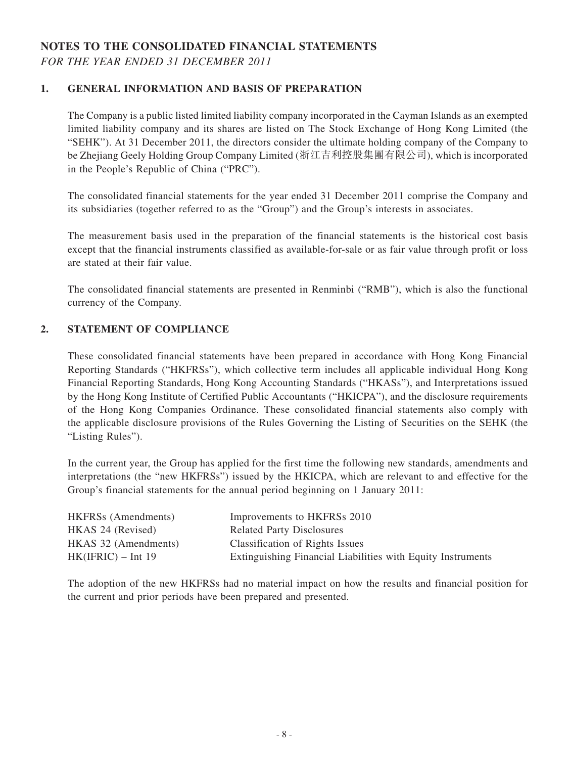## **NOTES TO THE CONSOLIDATED FINANCIAL STATEMENTS** *FOR THE YEAR ENDED 31 DECEMBER 2011*

### **1. GENERAL INFORMATION AND BASIS OF PREPARATION**

The Company is a public listed limited liability company incorporated in the Cayman Islands as an exempted limited liability company and its shares are listed on The Stock Exchange of Hong Kong Limited (the "SEHK"). At 31 December 2011, the directors consider the ultimate holding company of the Company to be Zhejiang Geely Holding Group Company Limited (浙江吉利控股集團有限公司), which is incorporated in the People's Republic of China ("PRC").

The consolidated financial statements for the year ended 31 December 2011 comprise the Company and its subsidiaries (together referred to as the "Group") and the Group's interests in associates.

The measurement basis used in the preparation of the financial statements is the historical cost basis except that the financial instruments classified as available-for-sale or as fair value through profit or loss are stated at their fair value.

The consolidated financial statements are presented in Renminbi ("RMB"), which is also the functional currency of the Company.

### **2. STATEMENT OF COMPLIANCE**

These consolidated financial statements have been prepared in accordance with Hong Kong Financial Reporting Standards ("HKFRSs"), which collective term includes all applicable individual Hong Kong Financial Reporting Standards, Hong Kong Accounting Standards ("HKASs"), and Interpretations issued by the Hong Kong Institute of Certified Public Accountants ("HKICPA"), and the disclosure requirements of the Hong Kong Companies Ordinance. These consolidated financial statements also comply with the applicable disclosure provisions of the Rules Governing the Listing of Securities on the SEHK (the "Listing Rules").

In the current year, the Group has applied for the first time the following new standards, amendments and interpretations (the "new HKFRSs") issued by the HKICPA, which are relevant to and effective for the Group's financial statements for the annual period beginning on 1 January 2011:

| <b>HKFRSs</b> (Amendments) | Improvements to HKFRSs 2010                                 |
|----------------------------|-------------------------------------------------------------|
| HKAS 24 (Revised)          | <b>Related Party Disclosures</b>                            |
| HKAS 32 (Amendments)       | Classification of Rights Issues                             |
| $HK(IFRIC) - Int 19$       | Extinguishing Financial Liabilities with Equity Instruments |

The adoption of the new HKFRSs had no material impact on how the results and financial position for the current and prior periods have been prepared and presented.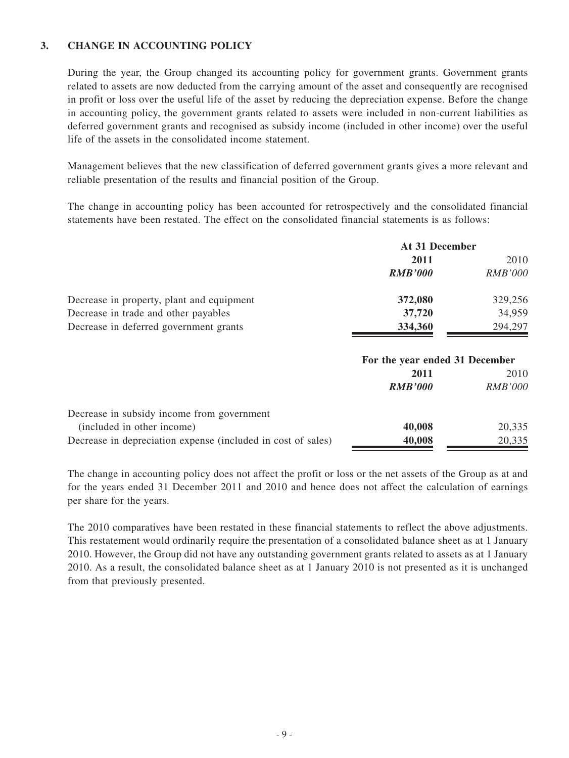### **3. CHANGE IN ACCOUNTING POLICY**

During the year, the Group changed its accounting policy for government grants. Government grants related to assets are now deducted from the carrying amount of the asset and consequently are recognised in profit or loss over the useful life of the asset by reducing the depreciation expense. Before the change in accounting policy, the government grants related to assets were included in non-current liabilities as deferred government grants and recognised as subsidy income (included in other income) over the useful life of the assets in the consolidated income statement.

Management believes that the new classification of deferred government grants gives a more relevant and reliable presentation of the results and financial position of the Group.

The change in accounting policy has been accounted for retrospectively and the consolidated financial statements have been restated. The effect on the consolidated financial statements is as follows:

|                                           | At 31 December |                |  |
|-------------------------------------------|----------------|----------------|--|
|                                           | 2011           | 2010           |  |
|                                           | <b>RMB'000</b> | <b>RMB'000</b> |  |
| Decrease in property, plant and equipment | 372,080        | 329,256        |  |
| Decrease in trade and other payables      | 37,720         | 34,959         |  |
| Decrease in deferred government grants    | 334,360        | 294,297        |  |

|                                                              | For the year ended 31 December |                |  |
|--------------------------------------------------------------|--------------------------------|----------------|--|
|                                                              | 2011                           | 2010           |  |
|                                                              | <b>RMB'000</b>                 | <b>RMB'000</b> |  |
| Decrease in subsidy income from government                   |                                |                |  |
| (included in other income)                                   | 40,008                         | 20,335         |  |
| Decrease in depreciation expense (included in cost of sales) | 40,008                         | 20,335         |  |

The change in accounting policy does not affect the profit or loss or the net assets of the Group as at and for the years ended 31 December 2011 and 2010 and hence does not affect the calculation of earnings per share for the years.

The 2010 comparatives have been restated in these financial statements to reflect the above adjustments. This restatement would ordinarily require the presentation of a consolidated balance sheet as at 1 January 2010. However, the Group did not have any outstanding government grants related to assets as at 1 January 2010. As a result, the consolidated balance sheet as at 1 January 2010 is not presented as it is unchanged from that previously presented.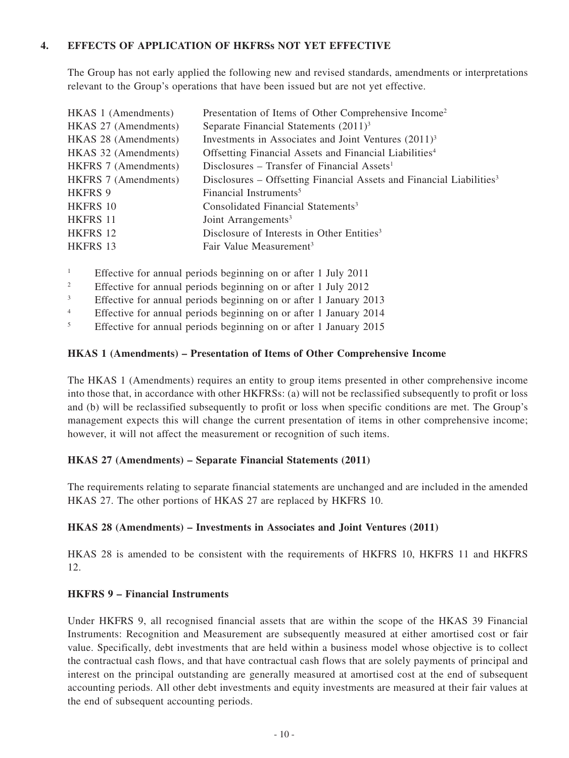### **4. EFFECTS OF APPLICATION OF HKFRSs NOT YET EFFECTIVE**

The Group has not early applied the following new and revised standards, amendments or interpretations relevant to the Group's operations that have been issued but are not yet effective.

| HKAS 1 (Amendments)  | Presentation of Items of Other Comprehensive Income <sup>2</sup>                 |
|----------------------|----------------------------------------------------------------------------------|
| HKAS 27 (Amendments) | Separate Financial Statements $(2011)^3$                                         |
| HKAS 28 (Amendments) | Investments in Associates and Joint Ventures $(2011)^3$                          |
| HKAS 32 (Amendments) | Offsetting Financial Assets and Financial Liabilities <sup>4</sup>               |
| HKFRS 7 (Amendments) | Disclosures – Transfer of Financial Assets <sup>1</sup>                          |
| HKFRS 7 (Amendments) | Disclosures – Offsetting Financial Assets and Financial Liabilities <sup>3</sup> |
| <b>HKFRS 9</b>       | Financial Instruments <sup>5</sup>                                               |
| HKFRS 10             | Consolidated Financial Statements <sup>3</sup>                                   |
| HKFRS 11             | Joint Arrangements <sup>3</sup>                                                  |
| HKFRS 12             | Disclosure of Interests in Other Entities <sup>3</sup>                           |
| HKFRS 13             | Fair Value Measurement <sup>3</sup>                                              |

- <sup>1</sup> Effective for annual periods beginning on or after 1 July 2011
- <sup>2</sup> Effective for annual periods beginning on or after 1 July 2012
- <sup>3</sup> Effective for annual periods beginning on or after 1 January 2013

<sup>4</sup> Effective for annual periods beginning on or after 1 January 2014

<sup>5</sup> Effective for annual periods beginning on or after 1 January 2015

#### **HKAS 1 (Amendments) – Presentation of Items of Other Comprehensive Income**

The HKAS 1 (Amendments) requires an entity to group items presented in other comprehensive income into those that, in accordance with other HKFRSs: (a) will not be reclassified subsequently to profit or loss and (b) will be reclassified subsequently to profit or loss when specific conditions are met. The Group's management expects this will change the current presentation of items in other comprehensive income; however, it will not affect the measurement or recognition of such items.

#### **HKAS 27 (Amendments) – Separate Financial Statements (2011)**

The requirements relating to separate financial statements are unchanged and are included in the amended HKAS 27. The other portions of HKAS 27 are replaced by HKFRS 10.

#### **HKAS 28 (Amendments) – Investments in Associates and Joint Ventures (2011)**

HKAS 28 is amended to be consistent with the requirements of HKFRS 10, HKFRS 11 and HKFRS 12.

### **HKFRS 9 – Financial Instruments**

Under HKFRS 9, all recognised financial assets that are within the scope of the HKAS 39 Financial Instruments: Recognition and Measurement are subsequently measured at either amortised cost or fair value. Specifically, debt investments that are held within a business model whose objective is to collect the contractual cash flows, and that have contractual cash flows that are solely payments of principal and interest on the principal outstanding are generally measured at amortised cost at the end of subsequent accounting periods. All other debt investments and equity investments are measured at their fair values at the end of subsequent accounting periods.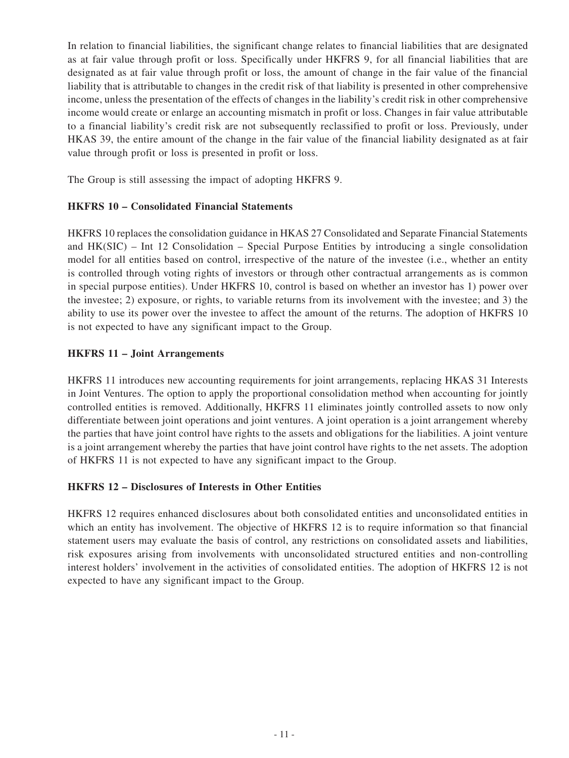In relation to financial liabilities, the significant change relates to financial liabilities that are designated as at fair value through profit or loss. Specifically under HKFRS 9, for all financial liabilities that are designated as at fair value through profit or loss, the amount of change in the fair value of the financial liability that is attributable to changes in the credit risk of that liability is presented in other comprehensive income, unless the presentation of the effects of changes in the liability's credit risk in other comprehensive income would create or enlarge an accounting mismatch in profit or loss. Changes in fair value attributable to a financial liability's credit risk are not subsequently reclassified to profit or loss. Previously, under HKAS 39, the entire amount of the change in the fair value of the financial liability designated as at fair value through profit or loss is presented in profit or loss.

The Group is still assessing the impact of adopting HKFRS 9.

## **HKFRS 10 – Consolidated Financial Statements**

HKFRS 10 replaces the consolidation guidance in HKAS 27 Consolidated and Separate Financial Statements and HK(SIC) – Int 12 Consolidation – Special Purpose Entities by introducing a single consolidation model for all entities based on control, irrespective of the nature of the investee (i.e., whether an entity is controlled through voting rights of investors or through other contractual arrangements as is common in special purpose entities). Under HKFRS 10, control is based on whether an investor has 1) power over the investee; 2) exposure, or rights, to variable returns from its involvement with the investee; and 3) the ability to use its power over the investee to affect the amount of the returns. The adoption of HKFRS 10 is not expected to have any significant impact to the Group.

## **HKFRS 11 – Joint Arrangements**

HKFRS 11 introduces new accounting requirements for joint arrangements, replacing HKAS 31 Interests in Joint Ventures. The option to apply the proportional consolidation method when accounting for jointly controlled entities is removed. Additionally, HKFRS 11 eliminates jointly controlled assets to now only differentiate between joint operations and joint ventures. A joint operation is a joint arrangement whereby the parties that have joint control have rights to the assets and obligations for the liabilities. A joint venture is a joint arrangement whereby the parties that have joint control have rights to the net assets. The adoption of HKFRS 11 is not expected to have any significant impact to the Group.

### **HKFRS 12 – Disclosures of Interests in Other Entities**

HKFRS 12 requires enhanced disclosures about both consolidated entities and unconsolidated entities in which an entity has involvement. The objective of HKFRS 12 is to require information so that financial statement users may evaluate the basis of control, any restrictions on consolidated assets and liabilities, risk exposures arising from involvements with unconsolidated structured entities and non-controlling interest holders' involvement in the activities of consolidated entities. The adoption of HKFRS 12 is not expected to have any significant impact to the Group.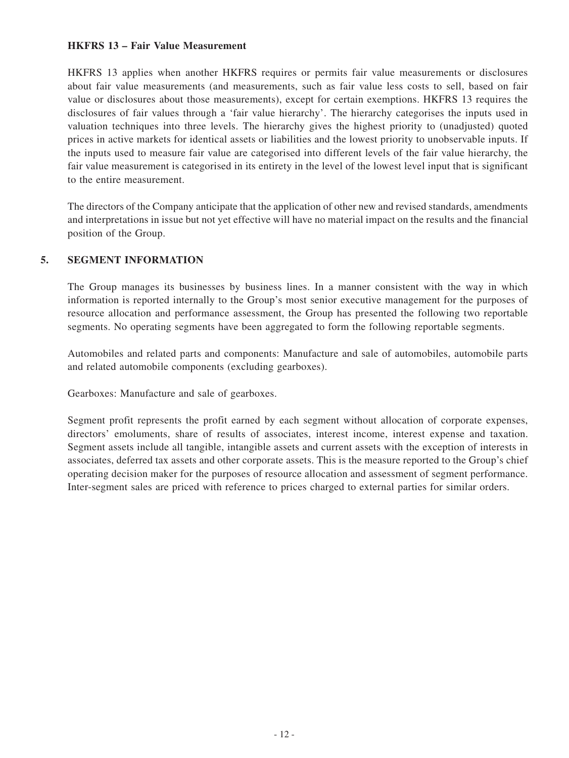#### **HKFRS 13 – Fair Value Measurement**

HKFRS 13 applies when another HKFRS requires or permits fair value measurements or disclosures about fair value measurements (and measurements, such as fair value less costs to sell, based on fair value or disclosures about those measurements), except for certain exemptions. HKFRS 13 requires the disclosures of fair values through a 'fair value hierarchy'. The hierarchy categorises the inputs used in valuation techniques into three levels. The hierarchy gives the highest priority to (unadjusted) quoted prices in active markets for identical assets or liabilities and the lowest priority to unobservable inputs. If the inputs used to measure fair value are categorised into different levels of the fair value hierarchy, the fair value measurement is categorised in its entirety in the level of the lowest level input that is significant to the entire measurement.

The directors of the Company anticipate that the application of other new and revised standards, amendments and interpretations in issue but not yet effective will have no material impact on the results and the financial position of the Group.

### **5. SEGMENT information**

The Group manages its businesses by business lines. In a manner consistent with the way in which information is reported internally to the Group's most senior executive management for the purposes of resource allocation and performance assessment, the Group has presented the following two reportable segments. No operating segments have been aggregated to form the following reportable segments.

Automobiles and related parts and components: Manufacture and sale of automobiles, automobile parts and related automobile components (excluding gearboxes).

Gearboxes: Manufacture and sale of gearboxes.

Segment profit represents the profit earned by each segment without allocation of corporate expenses, directors' emoluments, share of results of associates, interest income, interest expense and taxation. Segment assets include all tangible, intangible assets and current assets with the exception of interests in associates, deferred tax assets and other corporate assets. This is the measure reported to the Group's chief operating decision maker for the purposes of resource allocation and assessment of segment performance. Inter-segment sales are priced with reference to prices charged to external parties for similar orders.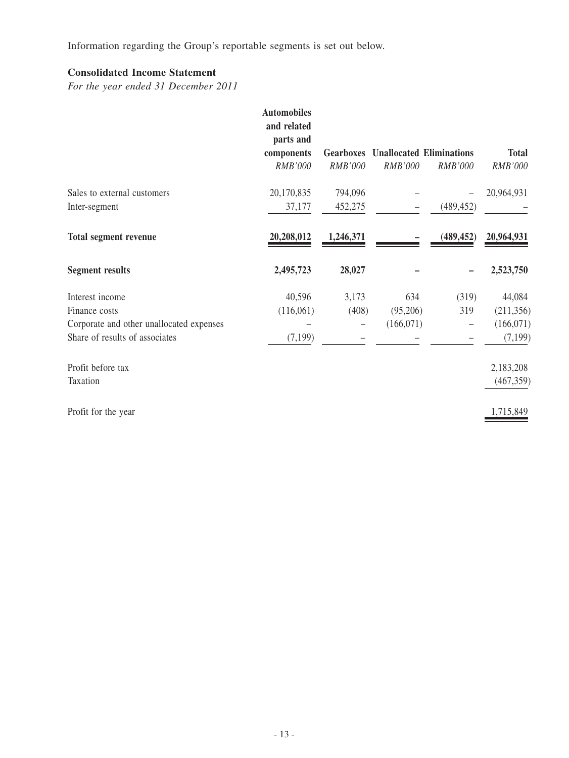Information regarding the Group's reportable segments is set out below.

## **Consolidated Income Statement**

*For the year ended 31 December 2011*

|                                          | <b>Automobiles</b><br>and related<br>parts and<br>components | <b>Gearboxes</b>  |            | <b>Unallocated Eliminations</b> | <b>Total</b> |
|------------------------------------------|--------------------------------------------------------------|-------------------|------------|---------------------------------|--------------|
|                                          | RMB'000                                                      | <b>RMB'000</b>    | RMB'000    | RMB'000                         | RMB'000      |
| Sales to external customers              | 20,170,835                                                   | 794,096           |            |                                 | 20,964,931   |
| Inter-segment                            | 37,177                                                       | 452,275           |            | (489, 452)                      |              |
| <b>Total segment revenue</b>             | 20,208,012                                                   | 1,246,371         |            | (489, 452)                      | 20,964,931   |
| <b>Segment results</b>                   | 2,495,723                                                    | 28,027            |            |                                 | 2,523,750    |
| Interest income                          | 40,596                                                       | 3,173             | 634        | (319)                           | 44,084       |
| Finance costs                            | (116,061)                                                    | (408)             | (95,206)   | 319                             | (211, 356)   |
| Corporate and other unallocated expenses |                                                              | $\qquad \qquad -$ | (166, 071) |                                 | (166, 071)   |
| Share of results of associates           | (7, 199)                                                     |                   |            |                                 | (7, 199)     |
| Profit before tax                        |                                                              |                   |            |                                 | 2,183,208    |
| Taxation                                 |                                                              |                   |            |                                 | (467, 359)   |
| Profit for the year                      |                                                              |                   |            |                                 | 1,715,849    |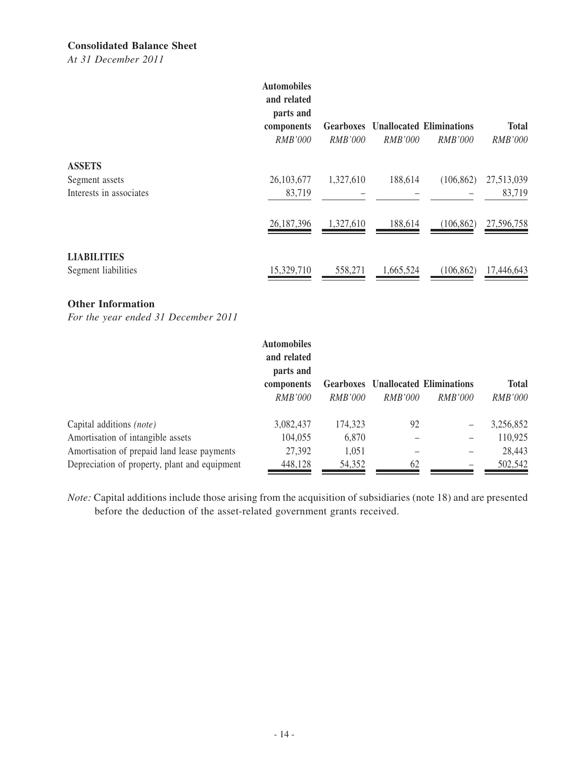### **Consolidated Balance Sheet**

*At 31 December 2011*

|                                                            | <b>Automobiles</b><br>and related<br>parts and<br>components<br><i>RMB'000</i> | <i>RMB'000</i> | <i>RMB'000</i> | <b>Gearboxes</b> Unallocated Eliminations<br><i>RMB'000</i> | <b>Total</b><br><i>RMB'000</i> |
|------------------------------------------------------------|--------------------------------------------------------------------------------|----------------|----------------|-------------------------------------------------------------|--------------------------------|
| <b>ASSETS</b><br>Segment assets<br>Interests in associates | 26, 103, 677<br>83,719                                                         | 1,327,610      | 188,614        | (106, 862)                                                  | 27,513,039<br>83,719           |
|                                                            | 26,187,396                                                                     | 1,327,610      | 188,614        | (106, 862)                                                  | 27,596,758                     |
| <b>LIABILITIES</b><br>Segment liabilities                  | 15,329,710                                                                     | 558,271        | 1,665,524      | (106, 862)                                                  | 17,446,643                     |

#### **Other Information**

*For the year ended 31 December 2011*

|                                               | <b>Automobiles</b><br>and related<br>parts and |                |                |                                           |                |
|-----------------------------------------------|------------------------------------------------|----------------|----------------|-------------------------------------------|----------------|
|                                               | components                                     |                |                | <b>Gearboxes</b> Unallocated Eliminations | <b>Total</b>   |
|                                               | <i>RMB'000</i>                                 | <i>RMB'000</i> | <i>RMB'000</i> | <i>RMB'000</i>                            | <b>RMB'000</b> |
| Capital additions (note)                      | 3,082,437                                      | 174,323        | 92             |                                           | 3,256,852      |
| Amortisation of intangible assets             | 104,055                                        | 6,870          |                |                                           | 110,925        |
| Amortisation of prepaid land lease payments   | 27,392                                         | 1,051          |                |                                           | 28,443         |
| Depreciation of property, plant and equipment | 448,128                                        | 54,352         | 62             |                                           | 502,542        |

*Note:* Capital additions include those arising from the acquisition of subsidiaries (note 18) and are presented before the deduction of the asset-related government grants received.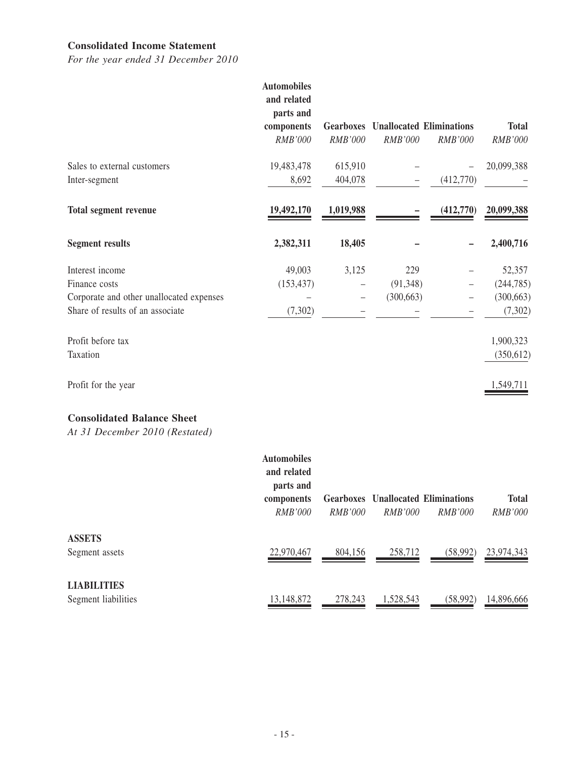#### **Consolidated Income Statement**

*For the year ended 31 December 2010*

|                                          | <b>Automobiles</b><br>and related<br>parts and<br>components<br>RMB'000 | RMB'000   | <b>Gearboxes</b> Unallocated Eliminations<br>RMB'000 | RMB'000   | <b>Total</b><br>RMB'000 |
|------------------------------------------|-------------------------------------------------------------------------|-----------|------------------------------------------------------|-----------|-------------------------|
| Sales to external customers              | 19,483,478                                                              | 615,910   |                                                      |           | 20,099,388              |
| Inter-segment                            | 8,692                                                                   | 404,078   | $\overline{\phantom{m}}$                             | (412,770) |                         |
| <b>Total segment revenue</b>             | 19,492,170                                                              | 1,019,988 |                                                      | (412,770) | 20,099,388              |
| <b>Segment results</b>                   | 2,382,311                                                               | 18,405    |                                                      |           | 2,400,716               |
| Interest income                          | 49,003                                                                  | 3,125     | 229                                                  |           | 52,357                  |
| Finance costs                            | (153, 437)                                                              |           | (91, 348)                                            |           | (244, 785)              |
| Corporate and other unallocated expenses |                                                                         |           | (300, 663)                                           |           | (300, 663)              |
| Share of results of an associate         | (7,302)                                                                 |           |                                                      |           | (7, 302)                |
| Profit before tax                        |                                                                         |           |                                                      |           | 1,900,323               |
| Taxation                                 |                                                                         |           |                                                      |           | (350, 612)              |
| Profit for the year                      |                                                                         |           |                                                      |           | 1,549,711               |
|                                          |                                                                         |           |                                                      |           |                         |

## **Consolidated Balance Sheet**

*At 31 December 2010 (Restated)*

|                                           | <b>Automobiles</b><br>and related<br>parts and<br>components<br><i>RMB'000</i> | <i>RMB'000</i> | <i>RMB'000</i> | <b>Gearboxes</b> Unallocated Eliminations<br><i>RMB'000</i> | <b>Total</b><br><i>RMB'000</i> |
|-------------------------------------------|--------------------------------------------------------------------------------|----------------|----------------|-------------------------------------------------------------|--------------------------------|
| <b>ASSETS</b><br>Segment assets           | 22,970,467                                                                     | 804,156        | 258,712        | (58,992)                                                    | 23,974,343                     |
| <b>LIABILITIES</b><br>Segment liabilities | 13,148,872                                                                     | 278,243        | 1,528,543      | (58, 992)                                                   | 14,896,666                     |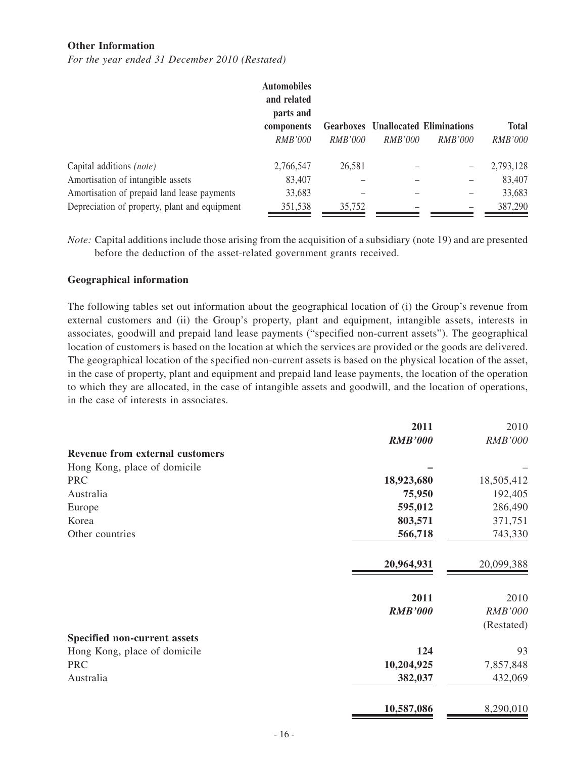#### **Other Information**

*For the year ended 31 December 2010 (Restated)*

|                                               | <b>Automobiles</b><br>and related |                |                |                                           |              |
|-----------------------------------------------|-----------------------------------|----------------|----------------|-------------------------------------------|--------------|
|                                               | parts and                         |                |                |                                           |              |
|                                               | components                        |                |                | <b>Gearboxes</b> Unallocated Eliminations | <b>Total</b> |
|                                               | <i>RMB'000</i>                    | <i>RMB'000</i> | <i>RMB'000</i> | <i>RMB'000</i>                            | RMB'000      |
| Capital additions <i>(note)</i>               | 2,766,547                         | 26,581         |                |                                           | 2,793,128    |
| Amortisation of intangible assets             | 83,407                            |                |                |                                           | 83,407       |
| Amortisation of prepaid land lease payments   | 33,683                            |                |                |                                           | 33,683       |
| Depreciation of property, plant and equipment | 351,538                           | 35,752         |                |                                           | 387,290      |

*Note:* Capital additions include those arising from the acquisition of a subsidiary (note 19) and are presented before the deduction of the asset-related government grants received.

#### **Geographical information**

The following tables set out information about the geographical location of (i) the Group's revenue from external customers and (ii) the Group's property, plant and equipment, intangible assets, interests in associates, goodwill and prepaid land lease payments ("specified non-current assets"). The geographical location of customers is based on the location at which the services are provided or the goods are delivered. The geographical location of the specified non-current assets is based on the physical location of the asset, in the case of property, plant and equipment and prepaid land lease payments, the location of the operation to which they are allocated, in the case of intangible assets and goodwill, and the location of operations, in the case of interests in associates.

|                                        | 2011           | 2010           |
|----------------------------------------|----------------|----------------|
|                                        | <b>RMB'000</b> | <b>RMB'000</b> |
| <b>Revenue from external customers</b> |                |                |
| Hong Kong, place of domicile           |                |                |
| <b>PRC</b>                             | 18,923,680     | 18,505,412     |
| Australia                              | 75,950         | 192,405        |
| Europe                                 | 595,012        | 286,490        |
| Korea                                  | 803,571        | 371,751        |
| Other countries                        | 566,718        | 743,330        |
|                                        | 20,964,931     | 20,099,388     |
|                                        | 2011           | 2010           |
|                                        | <b>RMB'000</b> | <b>RMB'000</b> |
|                                        |                | (Restated)     |
| Specified non-current assets           |                |                |
| Hong Kong, place of domicile           | 124            | 93             |
| <b>PRC</b>                             | 10,204,925     | 7,857,848      |
| Australia                              | 382,037        | 432,069        |
|                                        | 10,587,086     | 8,290,010      |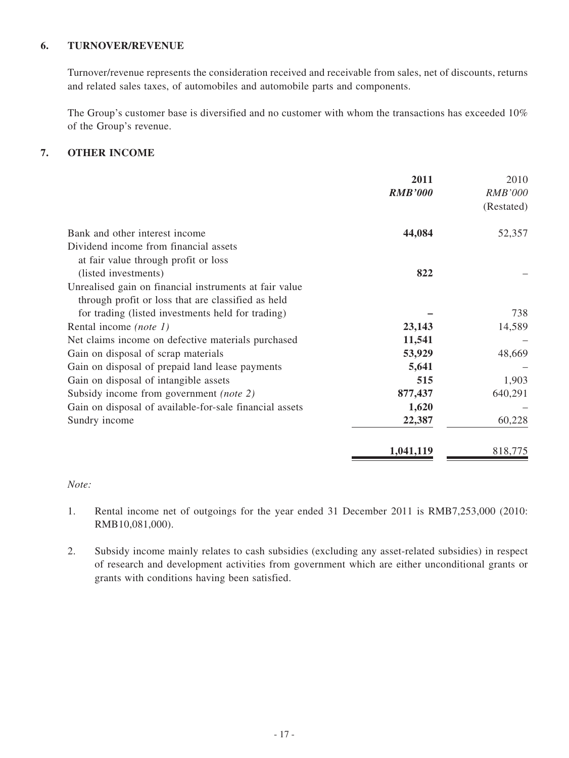### **6. TURNOVER/REVENUE**

Turnover/revenue represents the consideration received and receivable from sales, net of discounts, returns and related sales taxes, of automobiles and automobile parts and components.

The Group's customer base is diversified and no customer with whom the transactions has exceeded 10% of the Group's revenue.

### **7. OTHER INCOME**

|                                                         | 2011           | 2010           |
|---------------------------------------------------------|----------------|----------------|
|                                                         | <b>RMB'000</b> | <i>RMB'000</i> |
|                                                         |                | (Restated)     |
|                                                         |                |                |
| Bank and other interest income                          | 44,084         | 52,357         |
| Dividend income from financial assets                   |                |                |
| at fair value through profit or loss                    |                |                |
| (listed investments)                                    | 822            |                |
| Unrealised gain on financial instruments at fair value  |                |                |
| through profit or loss that are classified as held      |                |                |
| for trading (listed investments held for trading)       |                | 738            |
| Rental income (note 1)                                  | 23,143         | 14,589         |
| Net claims income on defective materials purchased      | 11,541         |                |
| Gain on disposal of scrap materials                     | 53,929         | 48,669         |
| Gain on disposal of prepaid land lease payments         | 5,641          |                |
| Gain on disposal of intangible assets                   | 515            | 1,903          |
| Subsidy income from government (note 2)                 | 877,437        | 640,291        |
| Gain on disposal of available-for-sale financial assets | 1,620          |                |
| Sundry income                                           | 22,387         | 60,228         |
|                                                         | 1,041,119      | 818,775        |

### *Note:*

- 1. Rental income net of outgoings for the year ended 31 December 2011 is RMB7,253,000 (2010: RMB10,081,000).
- 2. Subsidy income mainly relates to cash subsidies (excluding any asset-related subsidies) in respect of research and development activities from government which are either unconditional grants or grants with conditions having been satisfied.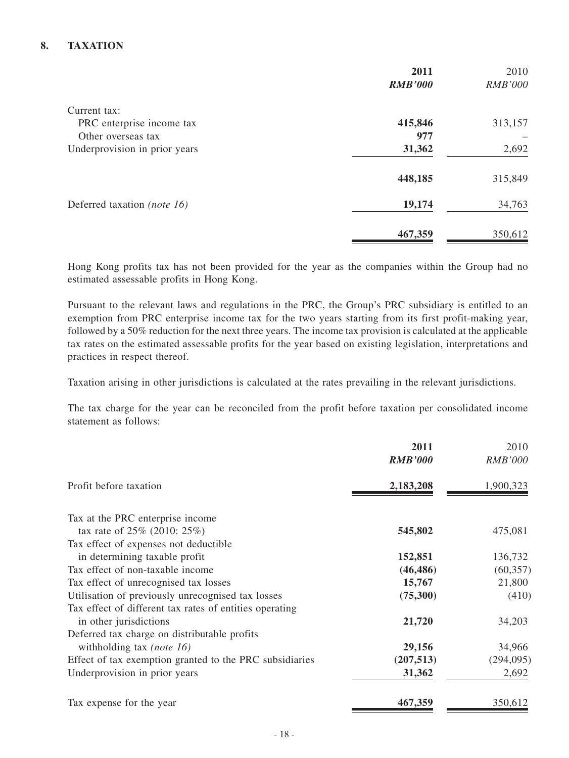### **8. TAXATION**

|                               | 2011<br><b>RMB'000</b> | 2010<br><b>RMB'000</b> |
|-------------------------------|------------------------|------------------------|
| Current tax:                  |                        |                        |
| PRC enterprise income tax     | 415,846                | 313,157                |
| Other overseas tax            | 977                    |                        |
| Underprovision in prior years | 31,362                 | 2,692                  |
|                               | 448,185                | 315,849                |
| Deferred taxation (note 16)   | 19,174                 | 34,763                 |
|                               | 467,359                | 350,612                |

Hong Kong profits tax has not been provided for the year as the companies within the Group had no estimated assessable profits in Hong Kong.

Pursuant to the relevant laws and regulations in the PRC, the Group's PRC subsidiary is entitled to an exemption from PRC enterprise income tax for the two years starting from its first profit-making year, followed by a 50% reduction for the next three years. The income tax provision is calculated at the applicable tax rates on the estimated assessable profits for the year based on existing legislation, interpretations and practices in respect thereof.

Taxation arising in other jurisdictions is calculated at the rates prevailing in the relevant jurisdictions.

The tax charge for the year can be reconciled from the profit before taxation per consolidated income statement as follows:

|                                                         | 2011           | 2010           |
|---------------------------------------------------------|----------------|----------------|
|                                                         | <b>RMB'000</b> | <b>RMB'000</b> |
| Profit before taxation                                  | 2,183,208      | 1,900,323      |
| Tax at the PRC enterprise income                        |                |                |
| tax rate of $25\%$ (2010: $25\%$ )                      | 545,802        | 475,081        |
| Tax effect of expenses not deductible                   |                |                |
| in determining taxable profit                           | 152,851        | 136,732        |
| Tax effect of non-taxable income                        | (46, 486)      | (60, 357)      |
| Tax effect of unrecognised tax losses                   | 15,767         | 21,800         |
| Utilisation of previously unrecognised tax losses       | (75,300)       | (410)          |
| Tax effect of different tax rates of entities operating |                |                |
| in other jurisdictions                                  | 21,720         | 34,203         |
| Deferred tax charge on distributable profits            |                |                |
| with holding tax ( <i>note 16</i> )                     | 29,156         | 34,966         |
| Effect of tax exemption granted to the PRC subsidiaries | (207, 513)     | (294, 095)     |
| Underprovision in prior years                           | 31,362         | 2,692          |
| Tax expense for the year                                | 467,359        | 350,612        |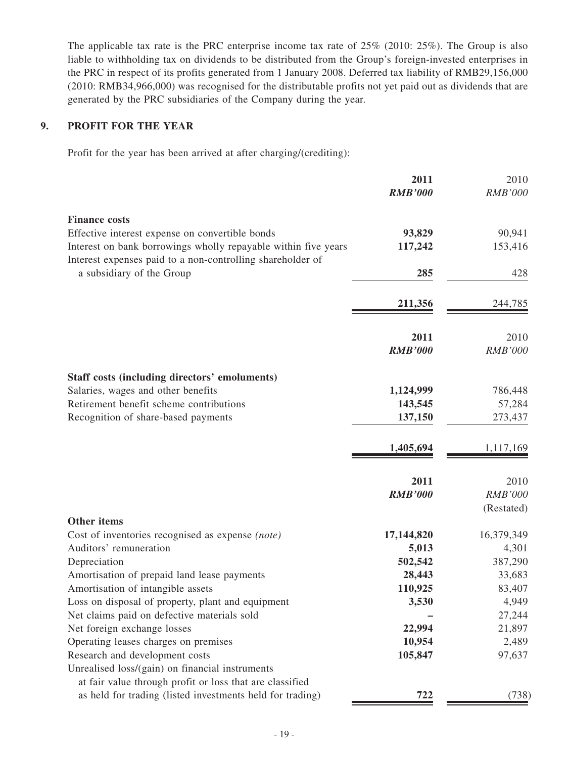The applicable tax rate is the PRC enterprise income tax rate of 25% (2010: 25%). The Group is also liable to withholding tax on dividends to be distributed from the Group's foreign-invested enterprises in the PRC in respect of its profits generated from 1 January 2008. Deferred tax liability of RMB29,156,000 (2010: RMB34,966,000) was recognised for the distributable profits not yet paid out as dividends that are generated by the PRC subsidiaries of the Company during the year.

### **9. PROFIT FOR THE YEAR**

Profit for the year has been arrived at after charging/(crediting):

|                                                                | 2011                   | 2010                   |
|----------------------------------------------------------------|------------------------|------------------------|
|                                                                | <b>RMB'000</b>         | <b>RMB'000</b>         |
| <b>Finance costs</b>                                           |                        |                        |
| Effective interest expense on convertible bonds                | 93,829                 | 90,941                 |
| Interest on bank borrowings wholly repayable within five years | 117,242                | 153,416                |
| Interest expenses paid to a non-controlling shareholder of     |                        |                        |
| a subsidiary of the Group                                      | 285                    | 428                    |
|                                                                | 211,356                | 244,785                |
|                                                                |                        |                        |
|                                                                | 2011<br><b>RMB'000</b> | 2010<br><b>RMB'000</b> |
|                                                                |                        |                        |
| Staff costs (including directors' emoluments)                  |                        |                        |
| Salaries, wages and other benefits                             | 1,124,999              | 786,448                |
| Retirement benefit scheme contributions                        | 143,545                | 57,284                 |
| Recognition of share-based payments                            | 137,150                | 273,437                |
|                                                                | 1,405,694              | 1,117,169              |
|                                                                | 2011                   | 2010                   |
|                                                                | <b>RMB'000</b>         | <b>RMB'000</b>         |
|                                                                |                        | (Restated)             |
| <b>Other items</b>                                             |                        |                        |
| Cost of inventories recognised as expense (note)               | 17,144,820             | 16,379,349             |
| Auditors' remuneration                                         | 5,013                  | 4,301                  |
| Depreciation<br>Amortisation of prepaid land lease payments    | 502,542<br>28,443      | 387,290<br>33,683      |
| Amortisation of intangible assets                              | 110,925                | 83,407                 |
| Loss on disposal of property, plant and equipment              | 3,530                  | 4,949                  |
| Net claims paid on defective materials sold                    |                        | 27,244                 |
| Net foreign exchange losses                                    | 22,994                 | 21,897                 |
| Operating leases charges on premises                           | 10,954                 | 2,489                  |
| Research and development costs                                 | 105,847                | 97,637                 |
| Unrealised loss/(gain) on financial instruments                |                        |                        |
| at fair value through profit or loss that are classified       |                        |                        |
| as held for trading (listed investments held for trading)      | 722                    | (738)                  |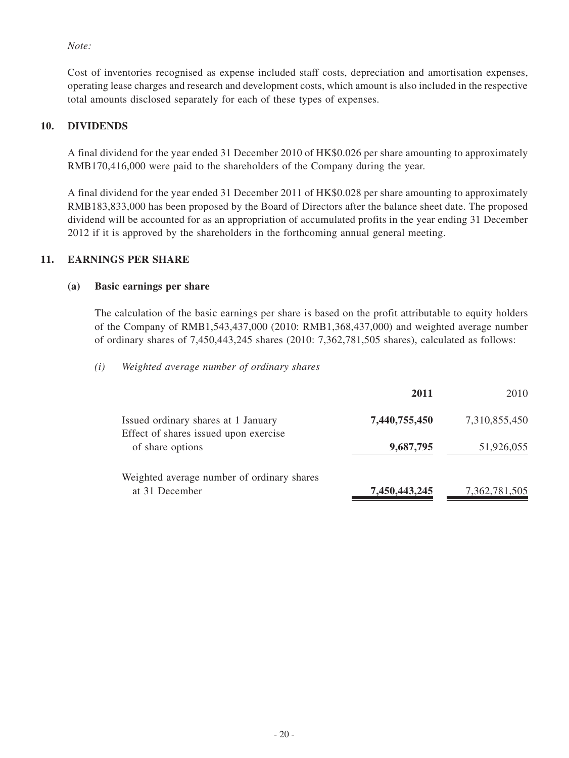*Note:*

Cost of inventories recognised as expense included staff costs, depreciation and amortisation expenses, operating lease charges and research and development costs, which amount is also included in the respective total amounts disclosed separately for each of these types of expenses.

### **10. DIVIDENDS**

A final dividend for the year ended 31 December 2010 of HK\$0.026 per share amounting to approximately RMB170,416,000 were paid to the shareholders of the Company during the year.

A final dividend for the year ended 31 December 2011 of HK\$0.028 per share amounting to approximately RMB183,833,000 has been proposed by the Board of Directors after the balance sheet date. The proposed dividend will be accounted for as an appropriation of accumulated profits in the year ending 31 December 2012 if it is approved by the shareholders in the forthcoming annual general meeting.

### **11. EARNINGS PER SHARE**

#### **(a) Basic earnings per share**

The calculation of the basic earnings per share is based on the profit attributable to equity holders of the Company of RMB1,543,437,000 (2010: RMB1,368,437,000) and weighted average number of ordinary shares of 7,450,443,245 shares (2010: 7,362,781,505 shares), calculated as follows:

#### *(i) Weighted average number of ordinary shares*

|                                                                              | 2011          | 2010          |
|------------------------------------------------------------------------------|---------------|---------------|
| Issued ordinary shares at 1 January<br>Effect of shares issued upon exercise | 7,440,755,450 | 7,310,855,450 |
| of share options                                                             | 9,687,795     | 51,926,055    |
| Weighted average number of ordinary shares<br>at 31 December                 | 7,450,443,245 | 7,362,781,505 |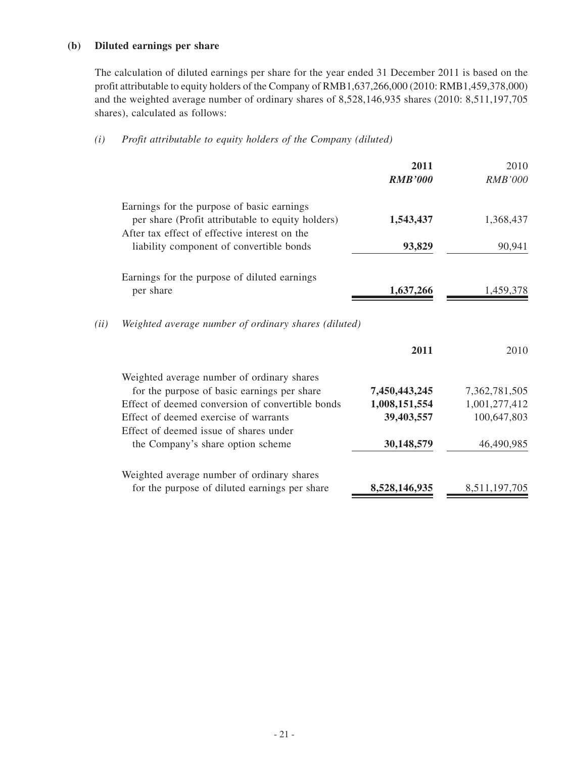#### **(b) Diluted earnings per share**

The calculation of diluted earnings per share for the year ended 31 December 2011 is based on the profit attributable to equity holders of the Company of RMB1,637,266,000 (2010: RMB1,459,378,000) and the weighted average number of ordinary shares of 8,528,146,935 shares (2010: 8,511,197,705 shares), calculated as follows:

### *(i) Profit attributable to equity holders of the Company (diluted)*

|      |                                                                                                 | 2011<br><b>RMB'000</b>         | 2010<br><b>RMB'000</b>         |
|------|-------------------------------------------------------------------------------------------------|--------------------------------|--------------------------------|
|      | Earnings for the purpose of basic earnings<br>per share (Profit attributable to equity holders) | 1,543,437                      | 1,368,437                      |
|      | After tax effect of effective interest on the<br>liability component of convertible bonds       | 93,829                         | 90,941                         |
|      | Earnings for the purpose of diluted earnings                                                    |                                |                                |
|      | per share                                                                                       | 1,637,266                      | 1,459,378                      |
| (ii) | Weighted average number of ordinary shares (diluted)                                            |                                |                                |
|      |                                                                                                 | 2011                           | 2010                           |
|      | Weighted average number of ordinary shares                                                      |                                |                                |
|      | for the purpose of basic earnings per share<br>Effect of deemed conversion of convertible bonds | 7,450,443,245<br>1,008,151,554 | 7,362,781,505<br>1,001,277,412 |
|      | Effect of deemed exercise of warrants                                                           | 39,403,557                     | 100,647,803                    |
|      | Effect of deemed issue of shares under                                                          |                                |                                |
|      | the Company's share option scheme                                                               | 30,148,579                     | 46,490,985                     |
|      | Weighted average number of ordinary shares                                                      |                                |                                |
|      | for the purpose of diluted earnings per share                                                   | 8,528,146,935                  | 8,511,197,705                  |
|      |                                                                                                 |                                |                                |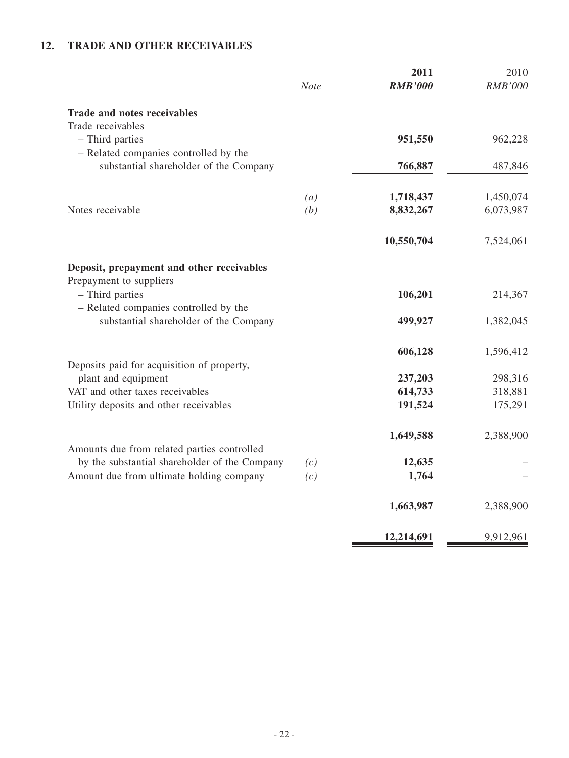## **12. TRADE AND OTHER RECEIVABLES**

|     | 2011                      | 2010                                                                  |
|-----|---------------------------|-----------------------------------------------------------------------|
|     |                           | <b>RMB'000</b>                                                        |
|     |                           |                                                                       |
|     |                           |                                                                       |
|     | 951,550                   | 962,228                                                               |
|     | 766,887                   | 487,846                                                               |
|     |                           | 1,450,074                                                             |
| (b) | 8,832,267                 | 6,073,987                                                             |
|     | 10,550,704                | 7,524,061                                                             |
|     |                           |                                                                       |
|     |                           | 214,367                                                               |
|     |                           |                                                                       |
|     | 499,927                   | 1,382,045                                                             |
|     | 606,128                   | 1,596,412                                                             |
|     |                           | 298,316                                                               |
|     |                           | 318,881                                                               |
|     | 191,524                   | 175,291                                                               |
|     | 1,649,588                 | 2,388,900                                                             |
|     |                           |                                                                       |
| (c) | 12,635                    |                                                                       |
|     |                           |                                                                       |
|     | 1,663,987                 | 2,388,900                                                             |
|     | 12,214,691                | 9,912,961                                                             |
|     | <b>Note</b><br>(a)<br>(c) | <b>RMB'000</b><br>1,718,437<br>106,201<br>237,203<br>614,733<br>1,764 |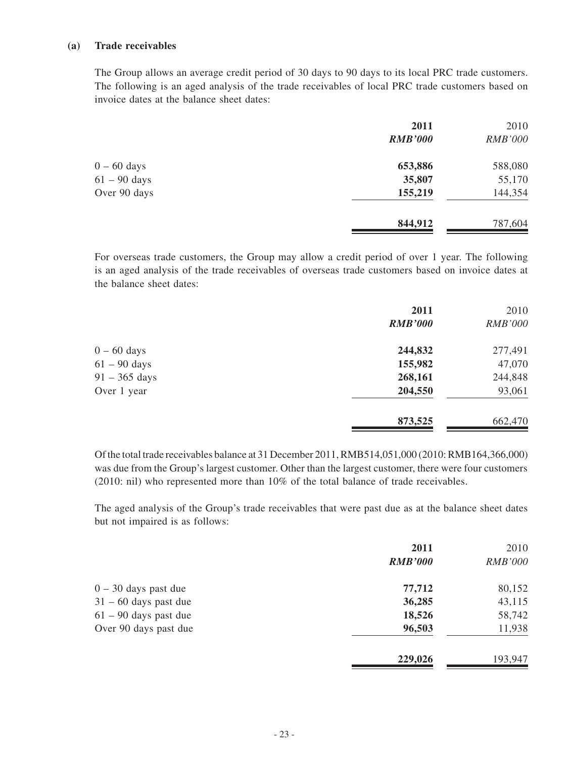#### **(a) Trade receivables**

The Group allows an average credit period of 30 days to 90 days to its local PRC trade customers. The following is an aged analysis of the trade receivables of local PRC trade customers based on invoice dates at the balance sheet dates:

| 2011           | 2010           |
|----------------|----------------|
| <b>RMB'000</b> | <b>RMB'000</b> |
| 653,886        | 588,080        |
| 35,807         | 55,170         |
| 155,219        | 144,354        |
| 844,912        | 787,604        |
|                |                |

For overseas trade customers, the Group may allow a credit period of over 1 year. The following is an aged analysis of the trade receivables of overseas trade customers based on invoice dates at the balance sheet dates:

|                 | 2011<br><b>RMB'000</b> | 2010<br><b>RMB'000</b> |
|-----------------|------------------------|------------------------|
| $0 - 60$ days   | 244,832                | 277,491                |
| $61 - 90$ days  | 155,982                | 47,070                 |
| $91 - 365$ days | 268,161                | 244,848                |
| Over 1 year     | 204,550                | 93,061                 |
|                 | 873,525                | 662,470                |

Of the total trade receivables balance at 31 December 2011, RMB514,051,000 (2010: RMB164,366,000) was due from the Group's largest customer. Other than the largest customer, there were four customers (2010: nil) who represented more than 10% of the total balance of trade receivables.

The aged analysis of the Group's trade receivables that were past due as at the balance sheet dates but not impaired is as follows:

| 2011    | 2010           |
|---------|----------------|
|         | <b>RMB'000</b> |
| 77,712  | 80,152         |
| 36,285  | 43,115         |
| 18,526  | 58,742         |
| 96,503  | 11,938         |
| 229,026 | 193,947        |
|         | <b>RMB'000</b> |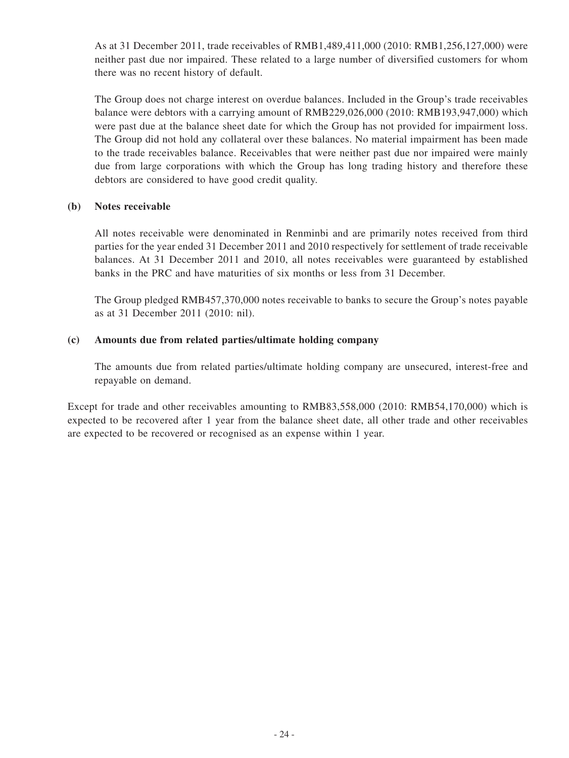As at 31 December 2011, trade receivables of RMB1,489,411,000 (2010: RMB1,256,127,000) were neither past due nor impaired. These related to a large number of diversified customers for whom there was no recent history of default.

The Group does not charge interest on overdue balances. Included in the Group's trade receivables balance were debtors with a carrying amount of RMB229,026,000 (2010: RMB193,947,000) which were past due at the balance sheet date for which the Group has not provided for impairment loss. The Group did not hold any collateral over these balances. No material impairment has been made to the trade receivables balance. Receivables that were neither past due nor impaired were mainly due from large corporations with which the Group has long trading history and therefore these debtors are considered to have good credit quality.

### **(b) Notes receivable**

All notes receivable were denominated in Renminbi and are primarily notes received from third parties for the year ended 31 December 2011 and 2010 respectively for settlement of trade receivable balances. At 31 December 2011 and 2010, all notes receivables were guaranteed by established banks in the PRC and have maturities of six months or less from 31 December.

The Group pledged RMB457,370,000 notes receivable to banks to secure the Group's notes payable as at 31 December 2011 (2010: nil).

### **(c) Amounts due from related parties/ultimate holding company**

The amounts due from related parties/ultimate holding company are unsecured, interest-free and repayable on demand.

Except for trade and other receivables amounting to RMB83,558,000 (2010: RMB54,170,000) which is expected to be recovered after 1 year from the balance sheet date, all other trade and other receivables are expected to be recovered or recognised as an expense within 1 year.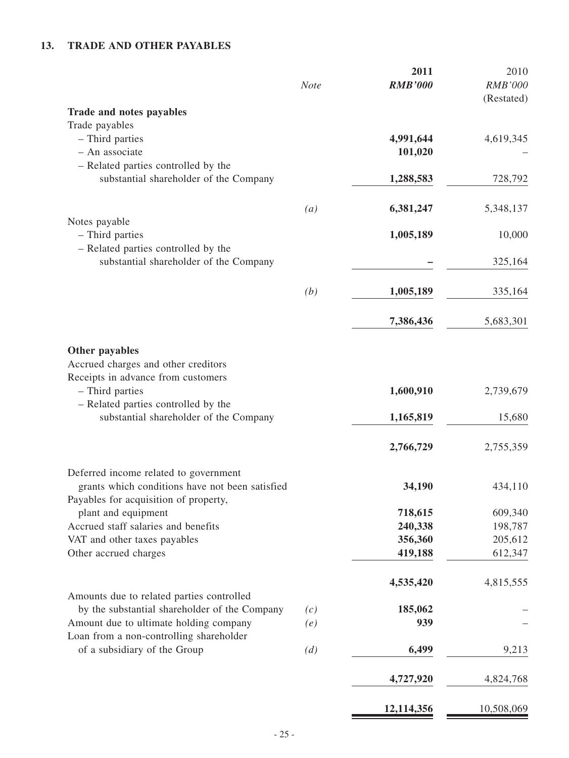## **13. TRADE AND OTHER PAYABLES**

|                                                                                            | Note              | 2011<br><b>RMB'000</b> | 2010<br><b>RMB'000</b><br>(Restated) |
|--------------------------------------------------------------------------------------------|-------------------|------------------------|--------------------------------------|
| Trade and notes payables                                                                   |                   |                        |                                      |
| Trade payables                                                                             |                   |                        |                                      |
| - Third parties                                                                            |                   | 4,991,644              | 4,619,345                            |
| - An associate                                                                             |                   | 101,020                |                                      |
| - Related parties controlled by the                                                        |                   |                        |                                      |
| substantial shareholder of the Company                                                     |                   | 1,288,583              | 728,792                              |
|                                                                                            |                   |                        |                                      |
| Notes payable                                                                              | $\left( a\right)$ | 6,381,247              | 5,348,137                            |
| - Third parties                                                                            |                   | 1,005,189              | 10,000                               |
| - Related parties controlled by the                                                        |                   |                        |                                      |
| substantial shareholder of the Company                                                     |                   |                        | 325,164                              |
|                                                                                            |                   |                        |                                      |
|                                                                                            | (b)               | 1,005,189              | 335,164                              |
|                                                                                            |                   | 7,386,436              | 5,683,301                            |
|                                                                                            |                   |                        |                                      |
| Other payables                                                                             |                   |                        |                                      |
| Accrued charges and other creditors                                                        |                   |                        |                                      |
| Receipts in advance from customers                                                         |                   |                        |                                      |
| - Third parties                                                                            |                   | 1,600,910              | 2,739,679                            |
| - Related parties controlled by the                                                        |                   |                        |                                      |
| substantial shareholder of the Company                                                     |                   | 1,165,819              | 15,680                               |
|                                                                                            |                   | 2,766,729              | 2,755,359                            |
| Deferred income related to government                                                      |                   |                        |                                      |
| grants which conditions have not been satisfied                                            |                   | 34,190                 | 434,110                              |
| Payables for acquisition of property,                                                      |                   |                        |                                      |
| plant and equipment                                                                        |                   | 718,615                | 609,340                              |
| Accrued staff salaries and benefits                                                        |                   | 240,338                | 198,787                              |
| VAT and other taxes payables                                                               |                   | 356,360                | 205,612                              |
| Other accrued charges                                                                      |                   | 419,188                | 612,347                              |
|                                                                                            |                   | 4,535,420              | 4,815,555                            |
| Amounts due to related parties controlled<br>by the substantial shareholder of the Company | (c)               | 185,062                |                                      |
| Amount due to ultimate holding company                                                     | (e)               | 939                    |                                      |
| Loan from a non-controlling shareholder                                                    |                   |                        |                                      |
| of a subsidiary of the Group                                                               | (d)               | 6,499                  | 9,213                                |
|                                                                                            |                   | 4,727,920              | 4,824,768                            |
|                                                                                            |                   | 12,114,356             | 10,508,069                           |
|                                                                                            |                   |                        |                                      |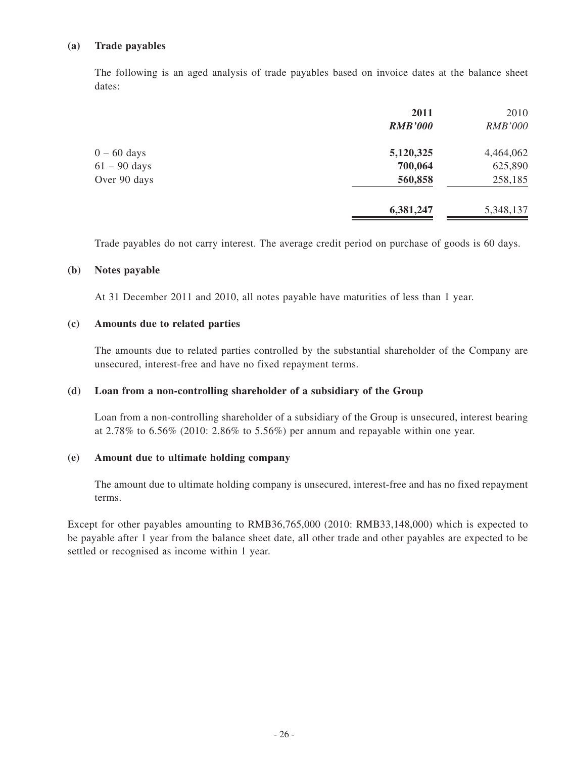#### **(a) Trade payables**

The following is an aged analysis of trade payables based on invoice dates at the balance sheet dates:

|                | 2011           | 2010           |
|----------------|----------------|----------------|
|                | <b>RMB'000</b> | <b>RMB'000</b> |
| $0 - 60$ days  | 5,120,325      | 4,464,062      |
| $61 - 90$ days | 700,064        | 625,890        |
| Over 90 days   | 560,858        | 258,185        |
|                | 6,381,247      | 5,348,137      |
|                |                |                |

Trade payables do not carry interest. The average credit period on purchase of goods is 60 days.

#### **(b) Notes payable**

At 31 December 2011 and 2010, all notes payable have maturities of less than 1 year.

#### **(c) Amounts due to related parties**

The amounts due to related parties controlled by the substantial shareholder of the Company are unsecured, interest-free and have no fixed repayment terms.

#### **(d) Loan from a non-controlling shareholder of a subsidiary of the Group**

Loan from a non-controlling shareholder of a subsidiary of the Group is unsecured, interest bearing at 2.78% to 6.56% (2010: 2.86% to 5.56%) per annum and repayable within one year.

#### **(e) Amount due to ultimate holding company**

The amount due to ultimate holding company is unsecured, interest-free and has no fixed repayment terms.

Except for other payables amounting to RMB36,765,000 (2010: RMB33,148,000) which is expected to be payable after 1 year from the balance sheet date, all other trade and other payables are expected to be settled or recognised as income within 1 year.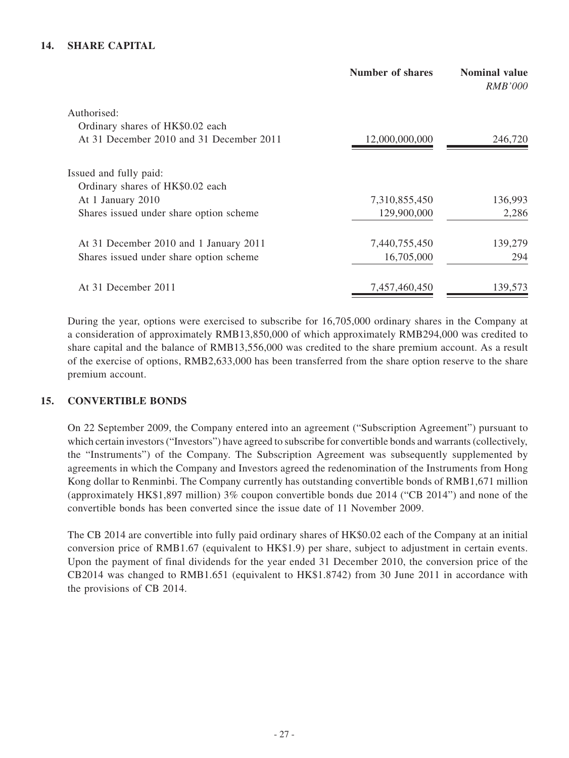### **14. SHARE CAPITAL**

|                                          | <b>Number of shares</b> | <b>Nominal value</b><br><i>RMB'000</i> |
|------------------------------------------|-------------------------|----------------------------------------|
| Authorised:                              |                         |                                        |
| Ordinary shares of HK\$0.02 each         |                         |                                        |
| At 31 December 2010 and 31 December 2011 | 12,000,000,000          | 246,720                                |
| Issued and fully paid:                   |                         |                                        |
| Ordinary shares of HK\$0.02 each         |                         |                                        |
| At 1 January 2010                        | 7,310,855,450           | 136,993                                |
| Shares issued under share option scheme  | 129,900,000             | 2,286                                  |
| At 31 December 2010 and 1 January 2011   | 7,440,755,450           | 139,279                                |
| Shares issued under share option scheme  | 16,705,000              | 294                                    |
| At 31 December 2011                      | 7,457,460,450           | 139,573                                |
|                                          |                         |                                        |

During the year, options were exercised to subscribe for 16,705,000 ordinary shares in the Company at a consideration of approximately RMB13,850,000 of which approximately RMB294,000 was credited to share capital and the balance of RMB13,556,000 was credited to the share premium account. As a result of the exercise of options, RMB2,633,000 has been transferred from the share option reserve to the share premium account.

#### **15. CONVERTIBLE BONDS**

On 22 September 2009, the Company entered into an agreement ("Subscription Agreement") pursuant to which certain investors ("Investors") have agreed to subscribe for convertible bonds and warrants (collectively, the "Instruments") of the Company. The Subscription Agreement was subsequently supplemented by agreements in which the Company and Investors agreed the redenomination of the Instruments from Hong Kong dollar to Renminbi. The Company currently has outstanding convertible bonds of RMB1,671 million (approximately HK\$1,897 million) 3% coupon convertible bonds due 2014 ("CB 2014") and none of the convertible bonds has been converted since the issue date of 11 November 2009.

The CB 2014 are convertible into fully paid ordinary shares of HK\$0.02 each of the Company at an initial conversion price of RMB1.67 (equivalent to HK\$1.9) per share, subject to adjustment in certain events. Upon the payment of final dividends for the year ended 31 December 2010, the conversion price of the CB2014 was changed to RMB1.651 (equivalent to HK\$1.8742) from 30 June 2011 in accordance with the provisions of CB 2014.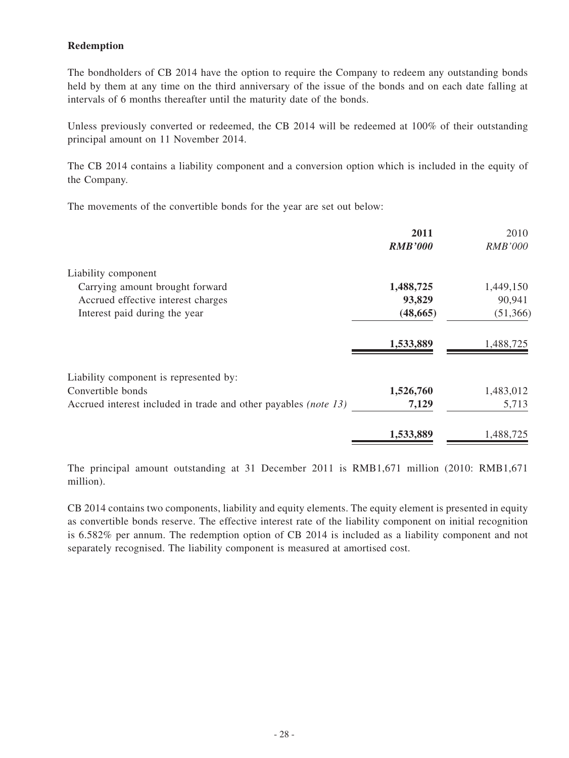### **Redemption**

The bondholders of CB 2014 have the option to require the Company to redeem any outstanding bonds held by them at any time on the third anniversary of the issue of the bonds and on each date falling at intervals of 6 months thereafter until the maturity date of the bonds.

Unless previously converted or redeemed, the CB 2014 will be redeemed at 100% of their outstanding principal amount on 11 November 2014.

The CB 2014 contains a liability component and a conversion option which is included in the equity of the Company.

The movements of the convertible bonds for the year are set out below:

|                                                                 | 2011<br><b>RMB'000</b> | 2010<br><i>RMB'000</i> |
|-----------------------------------------------------------------|------------------------|------------------------|
| Liability component                                             |                        |                        |
| Carrying amount brought forward                                 | 1,488,725              | 1,449,150              |
| Accrued effective interest charges                              | 93,829                 | 90,941                 |
| Interest paid during the year                                   | (48, 665)              | (51, 366)              |
|                                                                 | 1,533,889              | 1,488,725              |
| Liability component is represented by:                          |                        |                        |
| Convertible bonds                                               | 1,526,760              | 1,483,012              |
| Accrued interest included in trade and other payables (note 13) | 7,129                  | 5,713                  |
|                                                                 | 1,533,889              | 1,488,725              |

The principal amount outstanding at 31 December 2011 is RMB1,671 million (2010: RMB1,671 million).

CB 2014 contains two components, liability and equity elements. The equity element is presented in equity as convertible bonds reserve. The effective interest rate of the liability component on initial recognition is 6.582% per annum. The redemption option of CB 2014 is included as a liability component and not separately recognised. The liability component is measured at amortised cost.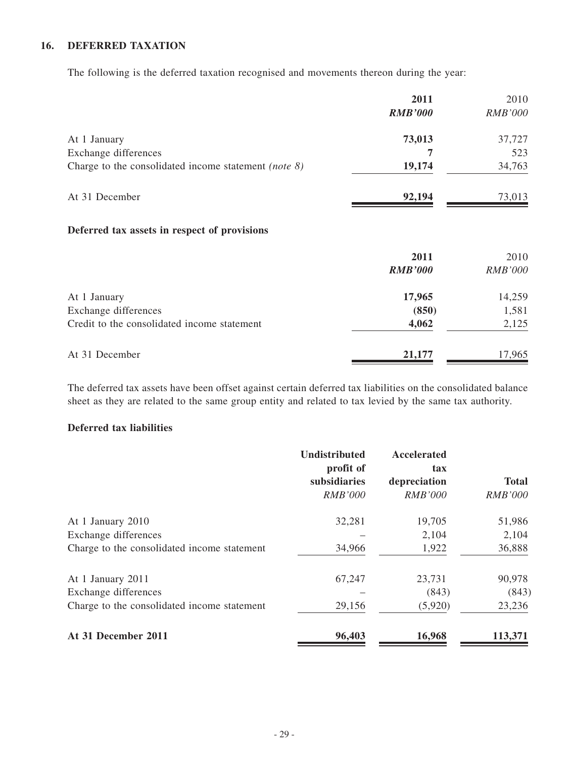### **16. DEFERRED TAXATION**

The following is the deferred taxation recognised and movements thereon during the year:

|                                                         | 2011           | 2010           |
|---------------------------------------------------------|----------------|----------------|
|                                                         | <b>RMB'000</b> | <b>RMB'000</b> |
| At 1 January                                            | 73,013         | 37,727         |
| Exchange differences                                    | 7              | 523            |
| Charge to the consolidated income statement (note $8$ ) | 19,174         | 34,763         |
| At 31 December                                          | 92,194         | 73,013         |
| Deferred tax assets in respect of provisions            |                |                |
|                                                         | 2011           | 2010           |
|                                                         | <b>RMB'000</b> | <b>RMB'000</b> |
| At 1 January                                            | 17,965         | 14,259         |
| Exchange differences                                    | (850)          | 1,581          |
| Credit to the consolidated income statement             | 4,062          | 2,125          |
| At 31 December                                          | 21,177         | 17,965         |

The deferred tax assets have been offset against certain deferred tax liabilities on the consolidated balance sheet as they are related to the same group entity and related to tax levied by the same tax authority.

#### **Deferred tax liabilities**

|                                             | <b>Undistributed</b><br>profit of | Accelerated<br>tax |                |
|---------------------------------------------|-----------------------------------|--------------------|----------------|
|                                             | subsidiaries                      | depreciation       | <b>Total</b>   |
|                                             | <b>RMB'000</b>                    | <i>RMB'000</i>     | <b>RMB'000</b> |
| At 1 January 2010                           | 32,281                            | 19,705             | 51,986         |
| Exchange differences                        |                                   | 2,104              | 2,104          |
| Charge to the consolidated income statement | 34,966                            | 1,922              | 36,888         |
| At 1 January 2011                           | 67,247                            | 23,731             | 90,978         |
| Exchange differences                        |                                   | (843)              | (843)          |
| Charge to the consolidated income statement | 29,156                            | (5,920)            | 23,236         |
| At 31 December 2011                         | 96,403                            | 16,968             | 113,371        |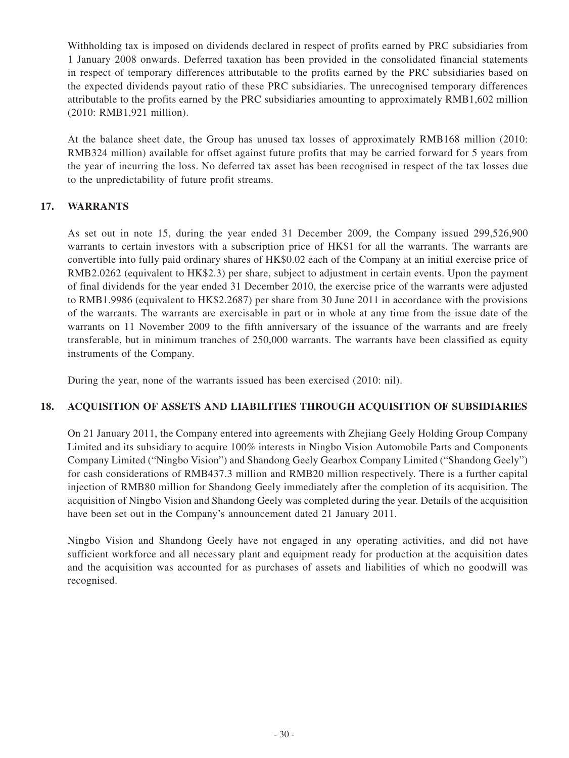Withholding tax is imposed on dividends declared in respect of profits earned by PRC subsidiaries from 1 January 2008 onwards. Deferred taxation has been provided in the consolidated financial statements in respect of temporary differences attributable to the profits earned by the PRC subsidiaries based on the expected dividends payout ratio of these PRC subsidiaries. The unrecognised temporary differences attributable to the profits earned by the PRC subsidiaries amounting to approximately RMB1,602 million (2010: RMB1,921 million).

At the balance sheet date, the Group has unused tax losses of approximately RMB168 million (2010: RMB324 million) available for offset against future profits that may be carried forward for 5 years from the year of incurring the loss. No deferred tax asset has been recognised in respect of the tax losses due to the unpredictability of future profit streams.

## **17. WARRANTS**

As set out in note 15, during the year ended 31 December 2009, the Company issued 299,526,900 warrants to certain investors with a subscription price of HK\$1 for all the warrants. The warrants are convertible into fully paid ordinary shares of HK\$0.02 each of the Company at an initial exercise price of RMB2.0262 (equivalent to HK\$2.3) per share, subject to adjustment in certain events. Upon the payment of final dividends for the year ended 31 December 2010, the exercise price of the warrants were adjusted to RMB1.9986 (equivalent to HK\$2.2687) per share from 30 June 2011 in accordance with the provisions of the warrants. The warrants are exercisable in part or in whole at any time from the issue date of the warrants on 11 November 2009 to the fifth anniversary of the issuance of the warrants and are freely transferable, but in minimum tranches of 250,000 warrants. The warrants have been classified as equity instruments of the Company.

During the year, none of the warrants issued has been exercised (2010: nil).

### **18. ACQUISITION OF ASSETS AND LIABILITIES THROUGH ACQUISITION OF SUBSIDIARIES**

On 21 January 2011, the Company entered into agreements with Zhejiang Geely Holding Group Company Limited and its subsidiary to acquire 100% interests in Ningbo Vision Automobile Parts and Components Company Limited ("Ningbo Vision") and Shandong Geely Gearbox Company Limited ("Shandong Geely") for cash considerations of RMB437.3 million and RMB20 million respectively. There is a further capital injection of RMB80 million for Shandong Geely immediately after the completion of its acquisition. The acquisition of Ningbo Vision and Shandong Geely was completed during the year. Details of the acquisition have been set out in the Company's announcement dated 21 January 2011.

Ningbo Vision and Shandong Geely have not engaged in any operating activities, and did not have sufficient workforce and all necessary plant and equipment ready for production at the acquisition dates and the acquisition was accounted for as purchases of assets and liabilities of which no goodwill was recognised.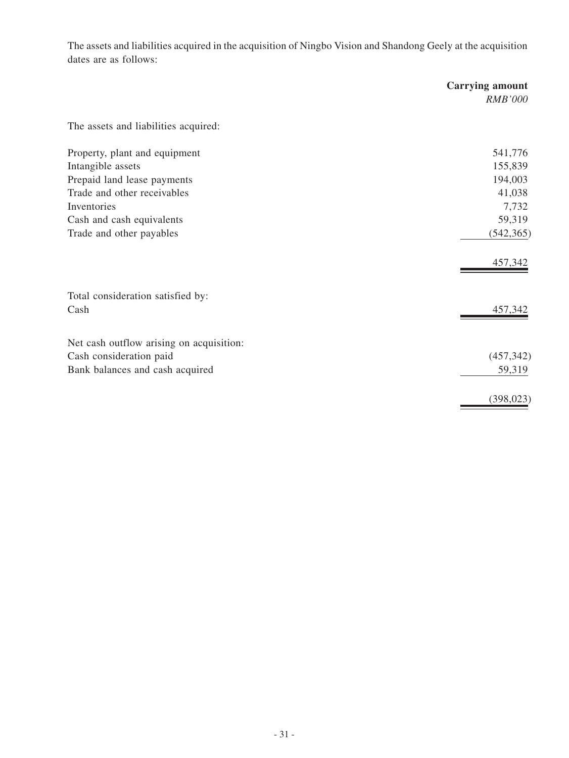The assets and liabilities acquired in the acquisition of Ningbo Vision and Shandong Geely at the acquisition dates are as follows:

|                                          | <b>Carrying amount</b><br><b>RMB'000</b> |
|------------------------------------------|------------------------------------------|
| The assets and liabilities acquired:     |                                          |
| Property, plant and equipment            | 541,776                                  |
| Intangible assets                        | 155,839                                  |
| Prepaid land lease payments              | 194,003                                  |
| Trade and other receivables              | 41,038                                   |
| Inventories                              | 7,732                                    |
| Cash and cash equivalents                | 59,319                                   |
| Trade and other payables                 | (542, 365)                               |
|                                          | 457,342                                  |
| Total consideration satisfied by:        |                                          |
| Cash                                     | 457,342                                  |
| Net cash outflow arising on acquisition: |                                          |
| Cash consideration paid                  | (457, 342)                               |
| Bank balances and cash acquired          | 59,319                                   |
|                                          | (398, 023)                               |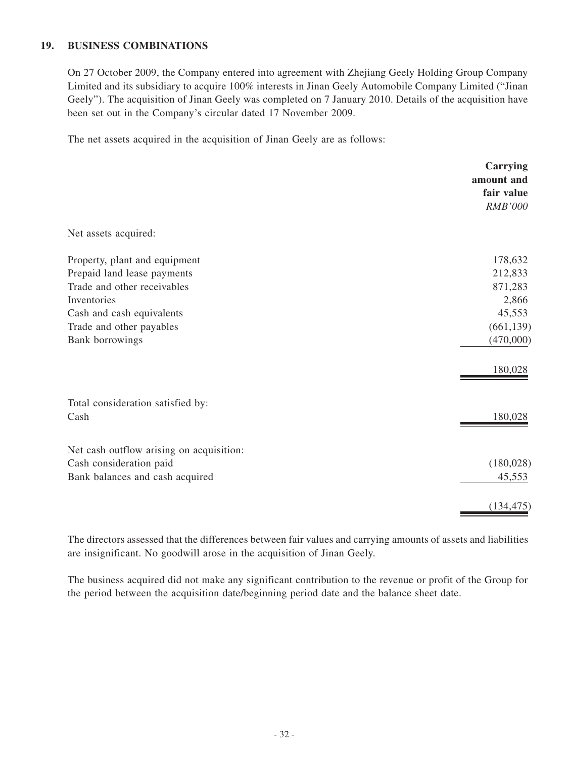#### **19. BUSINESS COMBINATIONS**

On 27 October 2009, the Company entered into agreement with Zhejiang Geely Holding Group Company Limited and its subsidiary to acquire 100% interests in Jinan Geely Automobile Company Limited ("Jinan Geely"). The acquisition of Jinan Geely was completed on 7 January 2010. Details of the acquisition have been set out in the Company's circular dated 17 November 2009.

The net assets acquired in the acquisition of Jinan Geely are as follows:

|                                          | Carrying<br>amount and<br>fair value<br><b>RMB'000</b> |
|------------------------------------------|--------------------------------------------------------|
| Net assets acquired:                     |                                                        |
| Property, plant and equipment            | 178,632                                                |
| Prepaid land lease payments              | 212,833                                                |
| Trade and other receivables              | 871,283                                                |
| Inventories                              | 2,866                                                  |
| Cash and cash equivalents                | 45,553                                                 |
| Trade and other payables                 | (661, 139)                                             |
| Bank borrowings                          | (470,000)                                              |
|                                          | 180,028                                                |
| Total consideration satisfied by:        |                                                        |
| Cash                                     | 180,028                                                |
| Net cash outflow arising on acquisition: |                                                        |
| Cash consideration paid                  | (180, 028)                                             |
| Bank balances and cash acquired          | 45,553                                                 |
|                                          | (134, 475)                                             |

The directors assessed that the differences between fair values and carrying amounts of assets and liabilities are insignificant. No goodwill arose in the acquisition of Jinan Geely.

The business acquired did not make any significant contribution to the revenue or profit of the Group for the period between the acquisition date/beginning period date and the balance sheet date.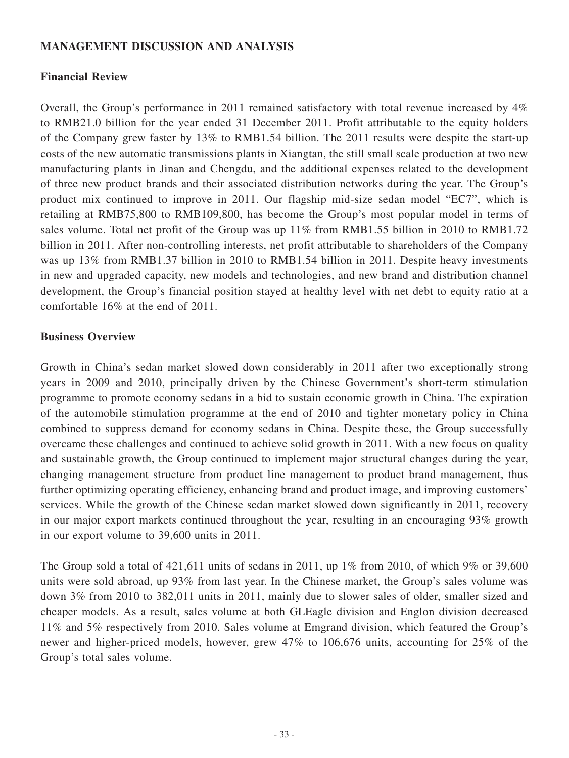## **MANAGEMENT DISCUSSION AND ANALYSIS**

## **Financial Review**

Overall, the Group's performance in 2011 remained satisfactory with total revenue increased by 4% to RMB21.0 billion for the year ended 31 December 2011. Profit attributable to the equity holders of the Company grew faster by 13% to RMB1.54 billion. The 2011 results were despite the start-up costs of the new automatic transmissions plants in Xiangtan, the still small scale production at two new manufacturing plants in Jinan and Chengdu, and the additional expenses related to the development of three new product brands and their associated distribution networks during the year. The Group's product mix continued to improve in 2011. Our flagship mid-size sedan model "EC7", which is retailing at RMB75,800 to RMB109,800, has become the Group's most popular model in terms of sales volume. Total net profit of the Group was up 11% from RMB1.55 billion in 2010 to RMB1.72 billion in 2011. After non-controlling interests, net profit attributable to shareholders of the Company was up 13% from RMB1.37 billion in 2010 to RMB1.54 billion in 2011. Despite heavy investments in new and upgraded capacity, new models and technologies, and new brand and distribution channel development, the Group's financial position stayed at healthy level with net debt to equity ratio at a comfortable 16% at the end of 2011.

### **Business Overview**

Growth in China's sedan market slowed down considerably in 2011 after two exceptionally strong years in 2009 and 2010, principally driven by the Chinese Government's short-term stimulation programme to promote economy sedans in a bid to sustain economic growth in China. The expiration of the automobile stimulation programme at the end of 2010 and tighter monetary policy in China combined to suppress demand for economy sedans in China. Despite these, the Group successfully overcame these challenges and continued to achieve solid growth in 2011. With a new focus on quality and sustainable growth, the Group continued to implement major structural changes during the year, changing management structure from product line management to product brand management, thus further optimizing operating efficiency, enhancing brand and product image, and improving customers' services. While the growth of the Chinese sedan market slowed down significantly in 2011, recovery in our major export markets continued throughout the year, resulting in an encouraging 93% growth in our export volume to 39,600 units in 2011.

The Group sold a total of  $421,611$  units of sedans in 2011, up 1% from 2010, of which 9% or 39,600 units were sold abroad, up 93% from last year. In the Chinese market, the Group's sales volume was down 3% from 2010 to 382,011 units in 2011, mainly due to slower sales of older, smaller sized and cheaper models. As a result, sales volume at both GLEagle division and Englon division decreased 11% and 5% respectively from 2010. Sales volume at Emgrand division, which featured the Group's newer and higher-priced models, however, grew 47% to 106,676 units, accounting for 25% of the Group's total sales volume.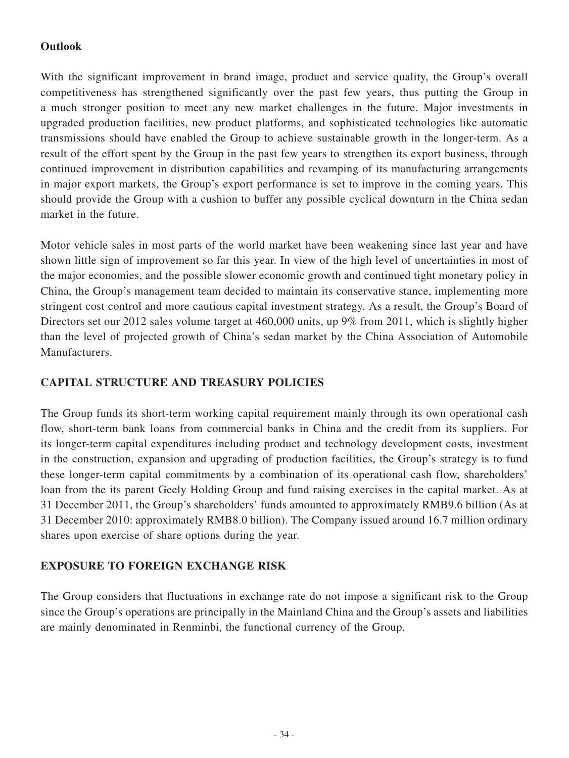## **Outlook**

With the significant improvement in brand image, product and service quality, the Group's overall competitiveness has strengthened significantly over the past few years, thus putting the Group in a much stronger position to meet any new market challenges in the future. Major investments in upgraded production facilities, new product platforms, and sophisticated technologies like automatic transmissions should have enabled the Group to achieve sustainable growth in the longer-term. As a result of the effort spent by the Group in the past few years to strengthen its export business, through continued improvement in distribution capabilities and revamping of its manufacturing arrangements in major export markets, the Group's export performance is set to improve in the coming years. This should provide the Group with a cushion to buffer any possible cyclical downturn in the China sedan market in the future.

Motor vehicle sales in most parts of the world market have been weakening since last year and have shown little sign of improvement so far this year. In view of the high level of uncertainties in most of the major economies, and the possible slower economic growth and continued tight monetary policy in China, the Group's management team decided to maintain its conservative stance, implementing more stringent cost control and more cautious capital investment strategy. As a result, the Group's Board of Directors set our 2012 sales volume target at 460,000 units, up 9% from 2011, which is slightly higher than the level of projected growth of China's sedan market by the China Association of Automobile Manufacturers.

## **CAPITAL STRUCTURE AND TREASURY POLICIES**

The Group funds its short-term working capital requirement mainly through its own operational cash flow, short-term bank loans from commercial banks in China and the credit from its suppliers. For its longer-term capital expenditures including product and technology development costs, investment in the construction, expansion and upgrading of production facilities, the Group's strategy is to fund these longer-term capital commitments by a combination of its operational cash flow, shareholders' loan from the its parent Geely Holding Group and fund raising exercises in the capital market. As at 31 December 2011, the Group's shareholders' funds amounted to approximately RMB9.6 billion (As at 31 December 2010: approximately RMB8.0 billion). The Company issued around 16.7 million ordinary shares upon exercise of share options during the year.

## **EXPOSURE TO FOREIGN EXCHANGE RISK**

The Group considers that fluctuations in exchange rate do not impose a significant risk to the Group since the Group's operations are principally in the Mainland China and the Group's assets and liabilities are mainly denominated in Renminbi, the functional currency of the Group.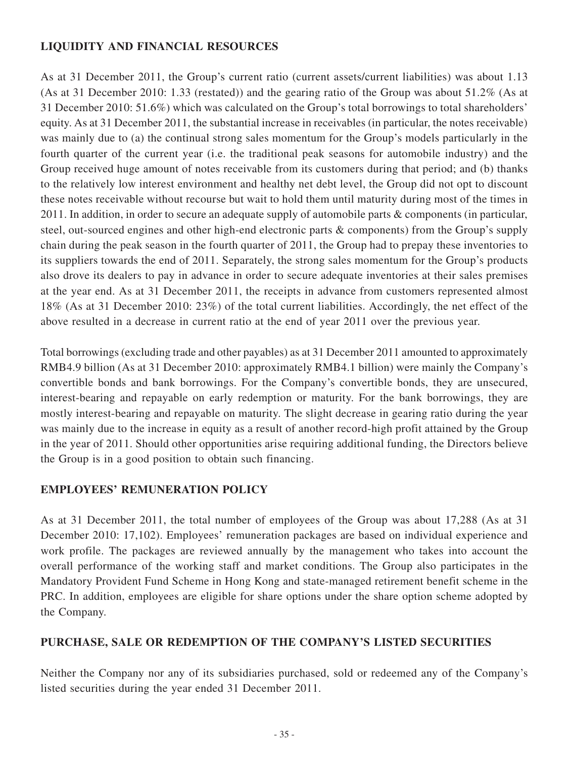## **LIQUIDITY AND FINANCIAL RESOURCES**

As at 31 December 2011, the Group's current ratio (current assets/current liabilities) was about 1.13 (As at 31 December 2010: 1.33 (restated)) and the gearing ratio of the Group was about 51.2% (As at 31 December 2010: 51.6%) which was calculated on the Group's total borrowings to total shareholders' equity. As at 31 December 2011, the substantial increase in receivables (in particular, the notes receivable) was mainly due to (a) the continual strong sales momentum for the Group's models particularly in the fourth quarter of the current year (i.e. the traditional peak seasons for automobile industry) and the Group received huge amount of notes receivable from its customers during that period; and (b) thanks to the relatively low interest environment and healthy net debt level, the Group did not opt to discount these notes receivable without recourse but wait to hold them until maturity during most of the times in 2011. In addition, in order to secure an adequate supply of automobile parts & components (in particular, steel, out-sourced engines and other high-end electronic parts & components) from the Group's supply chain during the peak season in the fourth quarter of 2011, the Group had to prepay these inventories to its suppliers towards the end of 2011. Separately, the strong sales momentum for the Group's products also drove its dealers to pay in advance in order to secure adequate inventories at their sales premises at the year end. As at 31 December 2011, the receipts in advance from customers represented almost 18% (As at 31 December 2010: 23%) of the total current liabilities. Accordingly, the net effect of the above resulted in a decrease in current ratio at the end of year 2011 over the previous year.

Total borrowings (excluding trade and other payables) as at 31 December 2011 amounted to approximately RMB4.9 billion (As at 31 December 2010: approximately RMB4.1 billion) were mainly the Company's convertible bonds and bank borrowings. For the Company's convertible bonds, they are unsecured, interest-bearing and repayable on early redemption or maturity. For the bank borrowings, they are mostly interest-bearing and repayable on maturity. The slight decrease in gearing ratio during the year was mainly due to the increase in equity as a result of another record-high profit attained by the Group in the year of 2011. Should other opportunities arise requiring additional funding, the Directors believe the Group is in a good position to obtain such financing.

## **EMPLOYEES' REMUNERATION POLICY**

As at 31 December 2011, the total number of employees of the Group was about 17,288 (As at 31 December 2010: 17,102). Employees' remuneration packages are based on individual experience and work profile. The packages are reviewed annually by the management who takes into account the overall performance of the working staff and market conditions. The Group also participates in the Mandatory Provident Fund Scheme in Hong Kong and state-managed retirement benefit scheme in the PRC. In addition, employees are eligible for share options under the share option scheme adopted by the Company.

## **PURCHASE, SALE OR REDEMPTION OF THE COMPANY'S LISTED SECURITIES**

Neither the Company nor any of its subsidiaries purchased, sold or redeemed any of the Company's listed securities during the year ended 31 December 2011.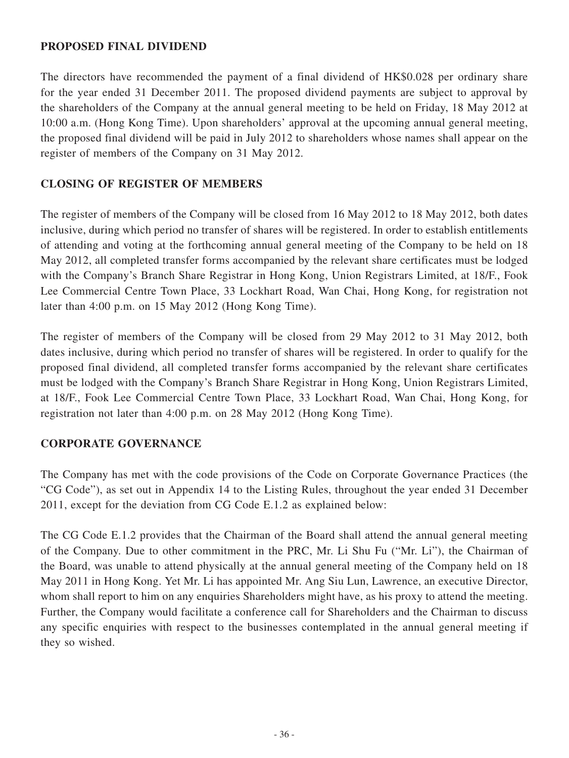## **PROPOSED FINAL DIVIDEND**

The directors have recommended the payment of a final dividend of HK\$0.028 per ordinary share for the year ended 31 December 2011. The proposed dividend payments are subject to approval by the shareholders of the Company at the annual general meeting to be held on Friday, 18 May 2012 at 10:00 a.m. (Hong Kong Time). Upon shareholders' approval at the upcoming annual general meeting, the proposed final dividend will be paid in July 2012 to shareholders whose names shall appear on the register of members of the Company on 31 May 2012.

## **CLOSING OF REGISTER OF MEMBERS**

The register of members of the Company will be closed from 16 May 2012 to 18 May 2012, both dates inclusive, during which period no transfer of shares will be registered. In order to establish entitlements of attending and voting at the forthcoming annual general meeting of the Company to be held on 18 May 2012, all completed transfer forms accompanied by the relevant share certificates must be lodged with the Company's Branch Share Registrar in Hong Kong, Union Registrars Limited, at 18/F., Fook Lee Commercial Centre Town Place, 33 Lockhart Road, Wan Chai, Hong Kong, for registration not later than 4:00 p.m. on 15 May 2012 (Hong Kong Time).

The register of members of the Company will be closed from 29 May 2012 to 31 May 2012, both dates inclusive, during which period no transfer of shares will be registered. In order to qualify for the proposed final dividend, all completed transfer forms accompanied by the relevant share certificates must be lodged with the Company's Branch Share Registrar in Hong Kong, Union Registrars Limited, at 18/F., Fook Lee Commercial Centre Town Place, 33 Lockhart Road, Wan Chai, Hong Kong, for registration not later than 4:00 p.m. on 28 May 2012 (Hong Kong Time).

## **CORPORATE GOVERNANCE**

The Company has met with the code provisions of the Code on Corporate Governance Practices (the "CG Code"), as set out in Appendix 14 to the Listing Rules, throughout the year ended 31 December 2011, except for the deviation from CG Code E.1.2 as explained below:

The CG Code E.1.2 provides that the Chairman of the Board shall attend the annual general meeting of the Company. Due to other commitment in the PRC, Mr. Li Shu Fu ("Mr. Li"), the Chairman of the Board, was unable to attend physically at the annual general meeting of the Company held on 18 May 2011 in Hong Kong. Yet Mr. Li has appointed Mr. Ang Siu Lun, Lawrence, an executive Director, whom shall report to him on any enquiries Shareholders might have, as his proxy to attend the meeting. Further, the Company would facilitate a conference call for Shareholders and the Chairman to discuss any specific enquiries with respect to the businesses contemplated in the annual general meeting if they so wished.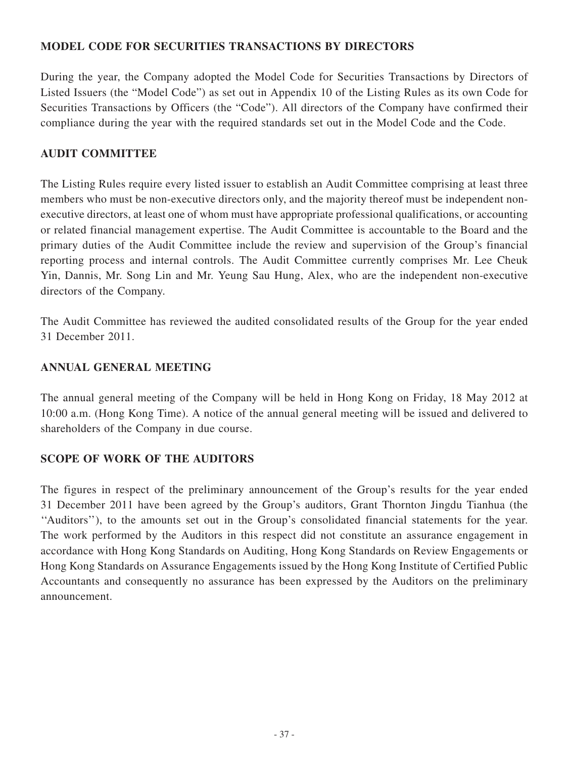## **MODEL CODE FOR SECURITIES TRANSACTIONS BY DIRECTORS**

During the year, the Company adopted the Model Code for Securities Transactions by Directors of Listed Issuers (the "Model Code") as set out in Appendix 10 of the Listing Rules as its own Code for Securities Transactions by Officers (the "Code"). All directors of the Company have confirmed their compliance during the year with the required standards set out in the Model Code and the Code.

## **AUDIT COMMITTEE**

The Listing Rules require every listed issuer to establish an Audit Committee comprising at least three members who must be non-executive directors only, and the majority thereof must be independent nonexecutive directors, at least one of whom must have appropriate professional qualifications, or accounting or related financial management expertise. The Audit Committee is accountable to the Board and the primary duties of the Audit Committee include the review and supervision of the Group's financial reporting process and internal controls. The Audit Committee currently comprises Mr. Lee Cheuk Yin, Dannis, Mr. Song Lin and Mr. Yeung Sau Hung, Alex, who are the independent non-executive directors of the Company.

The Audit Committee has reviewed the audited consolidated results of the Group for the year ended 31 December 2011.

## **ANNUAL GENERAL MEETING**

The annual general meeting of the Company will be held in Hong Kong on Friday, 18 May 2012 at 10:00 a.m. (Hong Kong Time). A notice of the annual general meeting will be issued and delivered to shareholders of the Company in due course.

## **SCOPE OF WORK OF THE AUDITORS**

The figures in respect of the preliminary announcement of the Group's results for the year ended 31 December 2011 have been agreed by the Group's auditors, Grant Thornton Jingdu Tianhua (the ''Auditors''), to the amounts set out in the Group's consolidated financial statements for the year. The work performed by the Auditors in this respect did not constitute an assurance engagement in accordance with Hong Kong Standards on Auditing, Hong Kong Standards on Review Engagements or Hong Kong Standards on Assurance Engagements issued by the Hong Kong Institute of Certified Public Accountants and consequently no assurance has been expressed by the Auditors on the preliminary announcement.